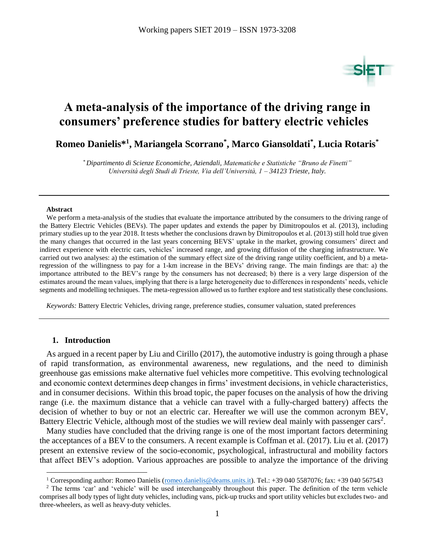

# **A meta-analysis of the importance of the driving range in consumers' preference studies for battery electric vehicles**

**Romeo Danielis\* 1 , Mariangela Scorrano\* , Marco Giansoldati\* , Lucia Rotaris \***

*\* Dipartimento di Scienze Economiche, Aziendali, Matematiche e Statistiche "Bruno de Finetti" Università degli Studi di Trieste, Via dell'Università, 1 – 34123 Trieste, Italy.*

#### **Abstract**

We perform a meta-analysis of the studies that evaluate the importance attributed by the consumers to the driving range of the Battery Electric Vehicles (BEVs). The paper updates and extends the paper by Dimitropoulos et al. (2013), including primary studies up to the year 2018. It tests whether the conclusions drawn by Dimitropoulos et al. (2013) still hold true given the many changes that occurred in the last years concerning BEVS' uptake in the market, growing consumers' direct and indirect experience with electric cars, vehicles' increased range, and growing diffusion of the charging infrastructure. We carried out two analyses: a) the estimation of the summary effect size of the driving range utility coefficient, and b) a metaregression of the willingness to pay for a 1-km increase in the BEVs' driving range. The main findings are that: a) the importance attributed to the BEV's range by the consumers has not decreased; b) there is a very large dispersion of the estimates around the mean values, implying that there is a large heterogeneity due to differences in respondents' needs, vehicle segments and modelling techniques. The meta-regression allowed us to further explore and test statistically these conclusions.

*Keywords:* Battery Electric Vehicles, driving range, preference studies, consumer valuation, stated preferences

#### **1. Introduction**

 $\overline{a}$ 

As argued in a recent paper by Liu and Cirillo (2017), the automotive industry is going through a phase of rapid transformation, as environmental awareness, new regulations, and the need to diminish greenhouse gas emissions make alternative fuel vehicles more competitive. This evolving technological and economic context determines deep changes in firms' investment decisions, in vehicle characteristics, and in consumer decisions. Within this broad topic, the paper focuses on the analysis of how the driving range (i.e. the maximum distance that a vehicle can travel with a fully-charged battery) affects the decision of whether to buy or not an electric car. Hereafter we will use the common acronym BEV, Battery Electric Vehicle, although most of the studies we will review deal mainly with passenger cars<sup>2</sup>.

Many studies have concluded that the driving range is one of the most important factors determining the acceptances of a BEV to the consumers. A recent example is Coffman et al. (2017). Liu et al. (2017) present an extensive review of the socio-economic, psychological, infrastructural and mobility factors that affect BEV's adoption. Various approaches are possible to analyze the importance of the driving

<sup>&</sup>lt;sup>1</sup> Corresponding author: Romeo Danielis [\(romeo.danielis@deams.units.it\)](mailto:romeo.danielis@deams.units.it). Tel.: +39 040 5587076; fax: +39 040 567543

<sup>&</sup>lt;sup>2</sup> The terms 'car' and 'vehicle' will be used interchangeably throughout this paper. The definition of the term vehicle comprises all body types of light duty vehicles, including vans, pick-up trucks and sport utility vehicles but excludes two- and three-wheelers, as well as heavy-duty vehicles.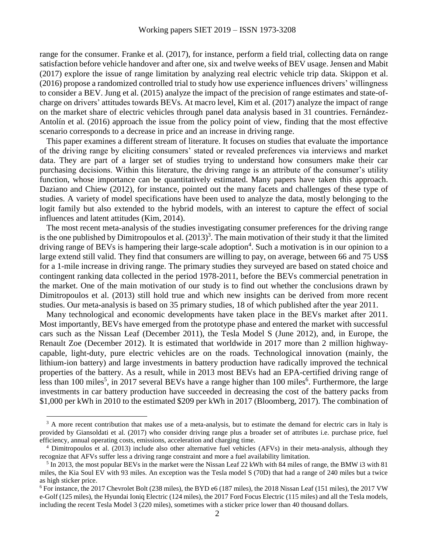range for the consumer. Franke et al. (2017), for instance, perform a field trial, collecting data on range satisfaction before vehicle handover and after one, six and twelve weeks of BEV usage. Jensen and Mabit (2017) explore the issue of range limitation by analyzing real electric vehicle trip data. Skippon et al. (2016) propose a randomized controlled trial to study how use experience influences drivers' willingness to consider a BEV. Jung et al. (2015) analyze the impact of the precision of range estimates and state-ofcharge on drivers' attitudes towards BEVs. At macro level, Kim et al. (2017) analyze the impact of range on the market share of electric vehicles through panel data analysis based in 31 countries. Fernández-Antolín et al. (2016) approach the issue from the policy point of view, finding that the most effective scenario corresponds to a decrease in price and an increase in driving range.

This paper examines a different stream of literature. It focuses on studies that evaluate the importance of the driving range by eliciting consumers' stated or revealed preferences via interviews and market data. They are part of a larger set of studies trying to understand how consumers make their car purchasing decisions. Within this literature, the driving range is an attribute of the consumer's utility function, whose importance can be quantitatively estimated. Many papers have taken this approach. Daziano and Chiew (2012), for instance, pointed out the many facets and challenges of these type of studies. A variety of model specifications have been used to analyze the data, mostly belonging to the logit family but also extended to the hybrid models, with an interest to capture the effect of social influences and latent attitudes (Kim, 2014).

The most recent meta-analysis of the studies investigating consumer preferences for the driving range is the one published by Dimitropoulos et al.  $(2013)^3$ . The main motivation of their study it that the limited driving range of BEVs is hampering their large-scale adoption<sup>4</sup>. Such a motivation is in our opinion to a large extend still valid. They find that consumers are willing to pay, on average, between 66 and 75 US\$ for a 1-mile increase in driving range. The primary studies they surveyed are based on stated choice and contingent ranking data collected in the period 1978-2011, before the BEVs commercial penetration in the market. One of the main motivation of our study is to find out whether the conclusions drawn by Dimitropoulos et al. (2013) still hold true and which new insights can be derived from more recent studies. Our meta-analysis is based on 35 primary studies, 18 of which published after the year 2011.

Many technological and economic developments have taken place in the BEVs market after 2011. Most importantly, BEVs have emerged from the prototype phase and entered the market with successful cars such as the Nissan Leaf (December 2011), the Tesla Model S (June 2012), and, in Europe, the Renault Zoe (December 2012). It is estimated that worldwide in 2017 more than 2 million highwaycapable, light-duty, pure electric vehicles are on the roads. Technological innovation (mainly, the lithium-ion battery) and large investments in battery production have radically improved the technical properties of the battery. As a result, while in 2013 most BEVs had an EPA-certified driving range of less than 100 miles<sup>5</sup>, in 2017 several BEVs have a range higher than 100 miles<sup>6</sup>. Furthermore, the large investments in car battery production have succeeded in decreasing the cost of the battery packs from \$1,000 per kWh in 2010 to the estimated \$209 per kWh in 2017 (Bloomberg, 2017). The combination of

 $3$  A more recent contribution that makes use of a meta-analysis, but to estimate the demand for electric cars in Italy is provided by Giansoldati et al. (2017) who consider driving range plus a broader set of attributes i.e. purchase price, fuel efficiency, annual operating costs, emissions, acceleration and charging time.

<sup>4</sup> Dimitropoulos et al. (2013) include also other alternative fuel vehicles (AFVs) in their meta-analysis, although they recognize that AFVs suffer less a driving range constraint and more a fuel availability limitation.

<sup>&</sup>lt;sup>5</sup> In 2013, the most popular BEVs in the market were the Nissan Leaf 22 kWh with 84 miles of range, the BMW i3 with 81 miles, the Kia Soul EV with 93 miles. An exception was the Tesla model S (70D) that had a range of 240 miles but a twice as high sticker price.

<sup>&</sup>lt;sup>6</sup> For instance, the 2017 Chevrolet Bolt (238 miles), the BYD e6 (187 miles), the 2018 Nissan Leaf (151 miles), the 2017 VW e-Golf (125 miles), the Hyundai Ioniq Electric (124 miles), the 2017 Ford Focus Electric (115 miles) and all the Tesla models, including the recent Tesla Model 3 (220 miles), sometimes with a sticker price lower than 40 thousand dollars.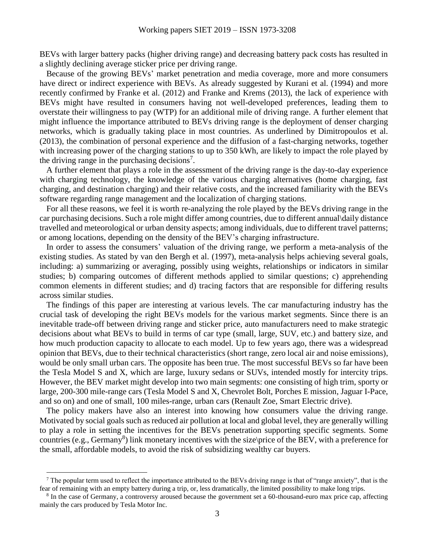BEVs with larger battery packs (higher driving range) and decreasing battery pack costs has resulted in a slightly declining average sticker price per driving range.

Because of the growing BEVs' market penetration and media coverage, more and more consumers have direct or indirect experience with BEVs. As already suggested by Kurani et al. (1994) and more recently confirmed by Franke et al. (2012) and Franke and Krems (2013), the lack of experience with BEVs might have resulted in consumers having not well-developed preferences, leading them to overstate their willingness to pay (WTP) for an additional mile of driving range. A further element that might influence the importance attributed to BEVs driving range is the deployment of denser charging networks, which is gradually taking place in most countries. As underlined by Dimitropoulos et al. (2013), the combination of personal experience and the diffusion of a fast-charging networks, together with increasing power of the charging stations to up to 350 kWh, are likely to impact the role played by the driving range in the purchasing decisions<sup>7</sup>.

A further element that plays a role in the assessment of the driving range is the day-to-day experience with charging technology, the knowledge of the various charging alternatives (home charging, fast charging, and destination charging) and their relative costs, and the increased familiarity with the BEVs software regarding range management and the localization of charging stations.

For all these reasons, we feel it is worth re-analyzing the role played by the BEVs driving range in the car purchasing decisions. Such a role might differ among countries, due to different annual\daily distance travelled and meteorological or urban density aspects; among individuals, due to different travel patterns; or among locations, depending on the density of the BEV's charging infrastructure.

In order to assess the consumers' valuation of the driving range, we perform a meta-analysis of the existing studies. As stated by van den Bergh et al. (1997), meta-analysis helps achieving several goals, including: a) summarizing or averaging, possibly using weights, relationships or indicators in similar studies; b) comparing outcomes of different methods applied to similar questions; c) apprehending common elements in different studies; and d) tracing factors that are responsible for differing results across similar studies.

The findings of this paper are interesting at various levels. The car manufacturing industry has the crucial task of developing the right BEVs models for the various market segments. Since there is an inevitable trade-off between driving range and sticker price, auto manufacturers need to make strategic decisions about what BEVs to build in terms of car type (small, large, SUV, etc.) and battery size, and how much production capacity to allocate to each model. Up to few years ago, there was a widespread opinion that BEVs, due to their technical characteristics (short range, zero local air and noise emissions), would be only small urban cars. The opposite has been true. The most successful BEVs so far have been the Tesla Model S and X, which are large, luxury sedans or SUVs, intended mostly for intercity trips. However, the BEV market might develop into two main segments: one consisting of high trim, sporty or large, 200-300 mile-range cars (Tesla Model S and X, Chevrolet Bolt, Porches E mission, Jaguar I-Pace, and so on) and one of small, 100 miles-range, urban cars (Renault Zoe, Smart Electric drive).

The policy makers have also an interest into knowing how consumers value the driving range. Motivated by social goals such as reduced air pollution at local and global level, they are generally willing to play a role in setting the incentives for the BEVs penetration supporting specific segments. Some countries (e.g., Germany<sup>8</sup>) link monetary incentives with the size\price of the BEV, with a preference for the small, affordable models, to avoid the risk of subsidizing wealthy car buyers.

 $^7$  The popular term used to reflect the importance attributed to the BEVs driving range is that of "range anxiety", that is the fear of remaining with an empty battery during a trip, or, less dramatically, the limited possibility to make long trips.

<sup>&</sup>lt;sup>8</sup> In the case of Germany, a controversy aroused because the government set a 60-thousand-euro max price cap, affecting mainly the cars produced by Tesla Motor Inc.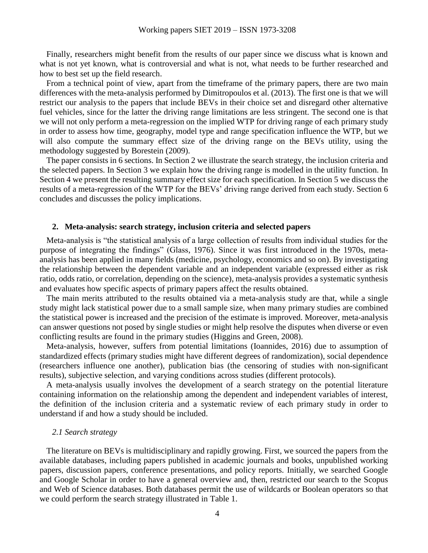Finally, researchers might benefit from the results of our paper since we discuss what is known and what is not yet known, what is controversial and what is not, what needs to be further researched and how to best set up the field research.

From a technical point of view, apart from the timeframe of the primary papers, there are two main differences with the meta-analysis performed by Dimitropoulos et al. (2013). The first one is that we will restrict our analysis to the papers that include BEVs in their choice set and disregard other alternative fuel vehicles, since for the latter the driving range limitations are less stringent. The second one is that we will not only perform a meta-regression on the implied WTP for driving range of each primary study in order to assess how time, geography, model type and range specification influence the WTP, but we will also compute the summary effect size of the driving range on the BEVs utility, using the methodology suggested by Borestein (2009).

The paper consists in 6 sections. In Section 2 we illustrate the search strategy, the inclusion criteria and the selected papers. In Section 3 we explain how the driving range is modelled in the utility function. In Section 4 we present the resulting summary effect size for each specification. In Section 5 we discuss the results of a meta-regression of the WTP for the BEVs' driving range derived from each study. Section 6 concludes and discusses the policy implications.

#### **2. Meta-analysis: search strategy, inclusion criteria and selected papers**

Meta-analysis is "the statistical analysis of a large collection of results from individual studies for the purpose of integrating the findings" (Glass, 1976). Since it was first introduced in the 1970s, metaanalysis has been applied in many fields (medicine, psychology, economics and so on). By investigating the relationship between the dependent variable and an independent variable (expressed either as risk ratio, odds ratio, or correlation, depending on the science), meta-analysis provides a systematic synthesis and evaluates how specific aspects of primary papers affect the results obtained.

The main merits attributed to the results obtained via a meta-analysis study are that, while a single study might lack statistical power due to a small sample size, when many primary studies are combined the statistical power is increased and the precision of the estimate is improved. Moreover, meta-analysis can answer questions not posed by single studies or might help resolve the disputes when diverse or even conflicting results are found in the primary studies (Higgins and Green, 2008).

Meta-analysis, however, suffers from potential limitations (Ioannides, 2016) due to assumption of standardized effects (primary studies might have different degrees of randomization), social dependence (researchers influence one another), publication bias (the censoring of studies with non-significant results), subjective selection, and varying conditions across studies (different protocols).

A meta-analysis usually involves the development of a search strategy on the potential literature containing information on the relationship among the dependent and independent variables of interest, the definition of the inclusion criteria and a systematic review of each primary study in order to understand if and how a study should be included.

#### *2.1 Search strategy*

The literature on BEVs is multidisciplinary and rapidly growing. First, we sourced the papers from the available databases, including papers published in academic journals and books, unpublished working papers, discussion papers, conference presentations, and policy reports. Initially, we searched Google and Google Scholar in order to have a general overview and, then, restricted our search to the Scopus and Web of Science databases. Both databases permit the use of wildcards or Boolean operators so that we could perform the search strategy illustrated in [Table 1.](#page-4-0)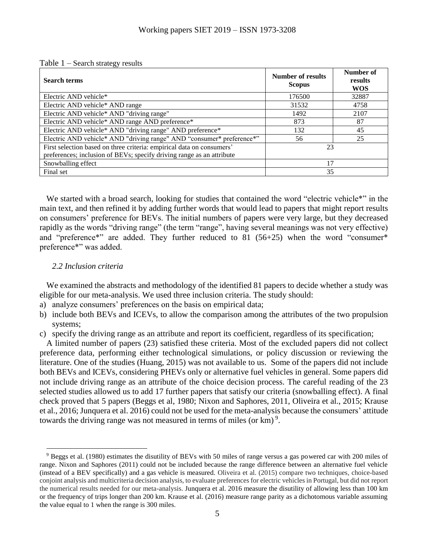<span id="page-4-0"></span>

|  | Table $1$ – Search strategy results |  |  |
|--|-------------------------------------|--|--|
|--|-------------------------------------|--|--|

| <b>Search terms</b>                                                                                                                            | <b>Number of results</b><br><b>Scopus</b> | Number of<br>results<br><b>WOS</b> |
|------------------------------------------------------------------------------------------------------------------------------------------------|-------------------------------------------|------------------------------------|
| Electric AND vehicle*                                                                                                                          | 176500                                    | 32887                              |
| Electric AND vehicle* AND range                                                                                                                | 31532                                     | 4758                               |
| Electric AND vehicle* AND "driving range"                                                                                                      | 1492                                      | 2107                               |
| Electric AND vehicle* AND range AND preference*                                                                                                | 873                                       | 87                                 |
| Electric AND vehicle* AND "driving range" AND preference*                                                                                      | 132                                       | 45                                 |
| Electric AND vehicle* AND "driving range" AND "consumer* preference*"                                                                          | 56                                        | 25                                 |
| First selection based on three criteria: empirical data on consumers'<br>preferences; inclusion of BEVs; specify driving range as an attribute | 23                                        |                                    |
| Snowballing effect                                                                                                                             | 17                                        |                                    |
| Final set                                                                                                                                      | 35                                        |                                    |

We started with a broad search, looking for studies that contained the word "electric vehicle\*" in the main text, and then refined it by adding further words that would lead to papers that might report results on consumers' preference for BEVs. The initial numbers of papers were very large, but they decreased rapidly as the words "driving range" (the term "range", having several meanings was not very effective) and "preference\*" are added. They further reduced to 81 (56+25) when the word "consumer\* preference\*" was added.

#### *2.2 Inclusion criteria*

 $\overline{a}$ 

We examined the abstracts and methodology of the identified 81 papers to decide whether a study was eligible for our meta-analysis. We used three inclusion criteria. The study should:

- a) analyze consumers' preferences on the basis on empirical data;
- b) include both BEVs and ICEVs, to allow the comparison among the attributes of the two propulsion systems;
- c) specify the driving range as an attribute and report its coefficient, regardless of its specification;

A limited number of papers (23) satisfied these criteria. Most of the excluded papers did not collect preference data, performing either technological simulations, or policy discussion or reviewing the literature. One of the studies (Huang, 2015) was not available to us. Some of the papers did not include both BEVs and ICEVs, considering PHEVs only or alternative fuel vehicles in general. Some papers did not include driving range as an attribute of the choice decision process. The careful reading of the 23 selected studies allowed us to add 17 further papers that satisfy our criteria (snowballing effect). A final check proved that 5 papers (Beggs et al, 1980; Nixon and Saphores, 2011, Oliveira et al., 2015; Krause et al., 2016; Junquera et al. 2016) could not be used for the meta-analysis because the consumers' attitude towards the driving range was not measured in terms of miles (or  $km$ )<sup>9</sup>.

<sup>9</sup> Beggs et al. (1980) estimates the disutility of BEVs with 50 miles of range versus a gas powered car with 200 miles of range. Nixon and Saphores (2011) could not be included because the range difference between an alternative fuel vehicle (instead of a BEV specifically) and a gas vehicle is measured. Oliveira et al. (2015) compare two techniques, choice-based conjoint analysis and multicriteria decision analysis, to evaluate preferences for electric vehicles in Portugal, but did not report the numerical results needed for our meta-analysis. Junquera et al. 2016 measure the disutility of allowing less than 100 km or the frequency of trips longer than 200 km. Krause et al. (2016) measure range parity as a dichotomous variable assuming the value equal to 1 when the range is 300 miles.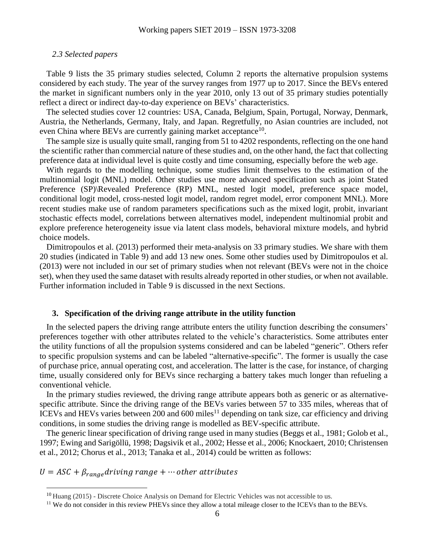#### *2.3 Selected papers*

[Table 9](#page-26-0) lists the 35 primary studies selected, Column 2 reports the alternative propulsion systems considered by each study. The year of the survey ranges from 1977 up to 2017. Since the BEVs entered the market in significant numbers only in the year 2010, only 13 out of 35 primary studies potentially reflect a direct or indirect day-to-day experience on BEVs' characteristics.

The selected studies cover 12 countries: USA, Canada, Belgium, Spain, Portugal, Norway, Denmark, Austria, the Netherlands, Germany, Italy, and Japan. Regretfully, no Asian countries are included, not even China where BEVs are currently gaining market acceptance<sup>10</sup>.

The sample size is usually quite small, ranging from 51 to 4202 respondents, reflecting on the one hand the scientific rather than commercial nature of these studies and, on the other hand, the fact that collecting preference data at individual level is quite costly and time consuming, especially before the web age.

With regards to the modelling technique, some studies limit themselves to the estimation of the multinomial logit (MNL) model. Other studies use more advanced specification such as joint Stated Preference (SP)\Revealed Preference (RP) MNL, nested logit model, preference space model, conditional logit model, cross-nested logit model, random regret model, error component MNL). More recent studies make use of random parameters specifications such as the mixed logit, probit, invariant stochastic effects model, correlations between alternatives model, independent multinomial probit and explore preference heterogeneity issue via latent class models, behavioral mixture models, and hybrid choice models.

Dimitropoulos et al. (2013) performed their meta-analysis on 33 primary studies. We share with them 20 studies (indicated in [Table 9\)](#page-26-0) and add 13 new ones. Some other studies used by Dimitropoulos et al. (2013) were not included in our set of primary studies when not relevant (BEVs were not in the choice set), when they used the same dataset with results already reported in other studies, or when not available. Further information included in [Table 9](#page-26-0) is discussed in the next Sections.

#### **3. Specification of the driving range attribute in the utility function**

In the selected papers the driving range attribute enters the utility function describing the consumers' preferences together with other attributes related to the vehicle's characteristics. Some attributes enter the utility functions of all the propulsion systems considered and can be labeled "generic". Others refer to specific propulsion systems and can be labeled "alternative-specific". The former is usually the case of purchase price, annual operating cost, and acceleration. The latter is the case, for instance, of charging time, usually considered only for BEVs since recharging a battery takes much longer than refueling a conventional vehicle.

In the primary studies reviewed, the driving range attribute appears both as generic or as alternativespecific attribute. Since the driving range of the BEVs varies between 57 to 335 miles, whereas that of ICEVs and HEVs varies between 200 and 600 miles<sup>11</sup> depending on tank size, car efficiency and driving conditions, in some studies the driving range is modelled as BEV-specific attribute.

The generic linear specification of driving range used in many studies (Beggs et al., 1981; Golob et al., 1997; Ewing and Sarigöllü, 1998; Dagsivik et al., 2002; Hesse et al., 2006; Knockaert, 2010; Christensen et al., 2012; Chorus et al., 2013; Tanaka et al., 2014) could be written as follows:

### $U = ASC + \beta_{range}$ driving range + ... other attributes

 $^{10}$  Huang (2015) - Discrete Choice Analysis on Demand for Electric Vehicles was not accessible to us.

<sup>&</sup>lt;sup>11</sup> We do not consider in this review PHEVs since they allow a total mileage closer to the ICEVs than to the BEVs.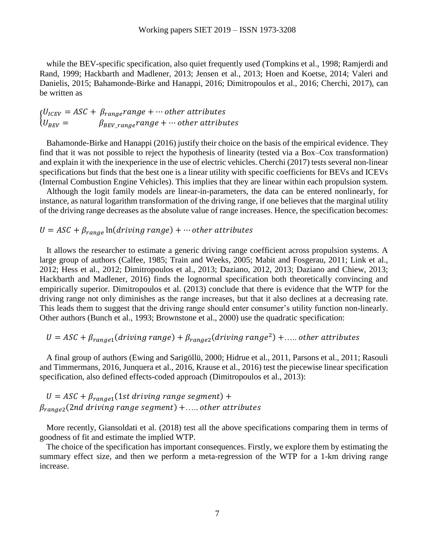while the BEV-specific specification, also quiet frequently used (Tompkins et al., 1998; Ramjerdi and Rand, 1999; Hackbarth and Madlener, 2013; Jensen et al., 2013; Hoen and Koetse, 2014; Valeri and Danielis, 2015; Bahamonde-Birke and Hanappi, 2016; Dimitropoulos et al., 2016; Cherchi, 2017), can be written as

$$
\begin{aligned}\n\{U_{ICEV} = ASC + \beta_{range} range + \cdots other attributes \\
\{U_{BEV} = \beta_{BEV\_range} range + \cdots other attributes\n\end{aligned}
$$

Bahamonde-Birke and Hanappi (2016) justify their choice on the basis of the empirical evidence. They find that it was not possible to reject the hypothesis of linearity (tested via a Box–Cox transformation) and explain it with the inexperience in the use of electric vehicles. Cherchi (2017) tests several non-linear specifications but finds that the best one is a linear utility with specific coefficients for BEVs and ICEVs (Internal Combustion Engine Vehicles). This implies that they are linear within each propulsion system.

Although the logit family models are linear-in-parameters, the data can be entered nonlinearly, for instance, as natural logarithm transformation of the driving range, if one believes that the marginal utility of the driving range decreases as the absolute value of range increases. Hence, the specification becomes:

### $U = ASC + \beta_{range} \ln (driving range) + \cdots$  other attributes

It allows the researcher to estimate a generic driving range coefficient across propulsion systems. A large group of authors (Calfee, 1985; Train and Weeks, 2005; Mabit and Fosgerau, 2011; Link et al., 2012; Hess et al., 2012; Dimitropoulos et al., 2013; Daziano, 2012, 2013; Daziano and Chiew, 2013; Hackbarth and Madlener, 2016) finds the lognormal specification both theoretically convincing and empirically superior. Dimitropoulos et al. (2013) conclude that there is evidence that the WTP for the driving range not only diminishes as the range increases, but that it also declines at a decreasing rate. This leads them to suggest that the driving range should enter consumer's utility function non-linearly. Other authors (Bunch et al., 1993; Brownstone et al., 2000) use the quadratic specification:

### $U = ASC + \beta_{range1}(driving range) + \beta_{range2}(driving range^2) + \dots$  other attributes

A final group of authors (Ewing and Sarigöllü, 2000; Hidrue et al., 2011, Parsons et al., 2011; Rasouli and Timmermans, 2016, Junquera et al., 2016, Krause et al., 2016) test the piecewise linear specification specification, also defined effects-coded approach (Dimitropoulos et al., 2013):

$$
U = ASC + \beta_{range1}(1st driving range segment) +
$$
  

$$
\beta_{range2}(2nd driving range segment) + \dots, other attributes
$$

More recently, Giansoldati et al. (2018) test all the above specifications comparing them in terms of goodness of fit and estimate the implied WTP.

The choice of the specification has important consequences. Firstly, we explore them by estimating the summary effect size, and then we perform a meta-regression of the WTP for a 1-km driving range increase.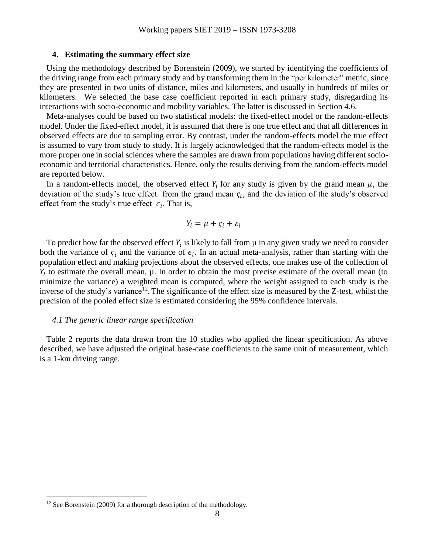#### **4. Estimating the summary effect size**

Using the methodology described by Borenstein (2009), we started by identifying the coefficients of the driving range from each primary study and by transforming them in the "per kilometer" metric, since they are presented in two units of distance, miles and kilometers, and usually in hundreds of miles or kilometers. We selected the base case coefficient reported in each primary study, disregarding its interactions with socio-economic and mobility variables. The latter is discussed in Section 4.6.

Meta-analyses could be based on two statistical models: the fixed-effect model or the random-effects model. Under the fixed-effect model, it is assumed that there is one true effect and that all differences in observed effects are due to sampling error. By contrast, under the random-effects model the true effect is assumed to vary from study to study. It is largely acknowledged that the random-effects model is the more proper one in social sciences where the samples are drawn from populations having different socioeconomic and territorial characteristics. Hence, only the results deriving from the random-effects model are reported below.

In a random-effects model, the observed effect  $Y_i$  for any study is given by the grand mean  $\mu$ , the deviation of the study's true effect from the grand mean  $\varsigma_i$ , and the deviation of the study's observed effect from the study's true effect  $\epsilon_i$ . That is,

$$
Y_i = \mu + \varsigma_i + \varepsilon_i
$$

To predict how far the observed effect  $Y_i$  is likely to fall from  $\mu$  in any given study we need to consider both the variance of  $\zeta_i$  and the variance of  $\epsilon_i$ . In an actual meta-analysis, rather than starting with the population effect and making projections about the observed effects, one makes use of the collection of  $Y_i$  to estimate the overall mean,  $\mu$ . In order to obtain the most precise estimate of the overall mean (to minimize the variance) a weighted mean is computed, where the weight assigned to each study is the inverse of the study's variance<sup>12</sup>. The significance of the effect size is measured by the Z-test, whilst the precision of the pooled effect size is estimated considering the 95% confidence intervals.

#### *4.1 The generic linear range specification*

[Table 2](#page-8-0) reports the data drawn from the 10 studies who applied the linear specification. As above described, we have adjusted the original base-case coefficients to the same unit of measurement, which is a 1-km driving range.

 $12$  See Borenstein (2009) for a thorough description of the methodology.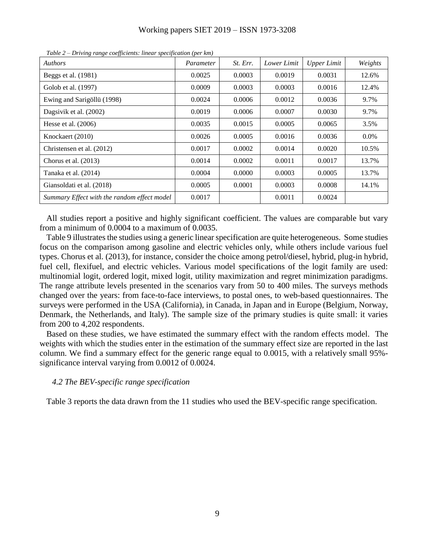| <i>Authors</i>                              | Parameter | St. Err. | Lower Limit | <b>Upper Limit</b> | Weights |
|---------------------------------------------|-----------|----------|-------------|--------------------|---------|
| Beggs et al. (1981)                         | 0.0025    | 0.0003   | 0.0019      | 0.0031             | 12.6%   |
| Golob et al. (1997)                         | 0.0009    | 0.0003   | 0.0003      | 0.0016             | 12.4%   |
| Ewing and Sarigöllü (1998)                  | 0.0024    | 0.0006   | 0.0012      | 0.0036             | 9.7%    |
| Dagsivik et al. (2002)                      | 0.0019    | 0.0006   | 0.0007      | 0.0030             | 9.7%    |
| Hesse et al. $(2006)$                       | 0.0035    | 0.0015   | 0.0005      | 0.0065             | 3.5%    |
| Knockaert (2010)                            | 0.0026    | 0.0005   | 0.0016      | 0.0036             | $0.0\%$ |
| Christensen et al. (2012)                   | 0.0017    | 0.0002   | 0.0014      | 0.0020             | 10.5%   |
| Chorus et al. $(2013)$                      | 0.0014    | 0.0002   | 0.0011      | 0.0017             | 13.7%   |
| Tanaka et al. (2014)                        | 0.0004    | 0.0000   | 0.0003      | 0.0005             | 13.7%   |
| Giansoldati et al. (2018)                   | 0.0005    | 0.0001   | 0.0003      | 0.0008             | 14.1%   |
| Summary Effect with the random effect model | 0.0017    |          | 0.0011      | 0.0024             |         |

<span id="page-8-0"></span>*Table 2 – Driving range coefficients: linear specification (per km)*

All studies report a positive and highly significant coefficient. The values are comparable but vary from a minimum of 0.0004 to a maximum of 0.0035.

[Table 9](#page-26-0) illustrates the studies using a generic linear specification are quite heterogeneous. Some studies focus on the comparison among gasoline and electric vehicles only, while others include various fuel types. Chorus et al. (2013), for instance, consider the choice among petrol/diesel, hybrid, plug-in hybrid, fuel cell, flexifuel, and electric vehicles. Various model specifications of the logit family are used: multinomial logit, ordered logit, mixed logit, utility maximization and regret minimization paradigms. The range attribute levels presented in the scenarios vary from 50 to 400 miles. The surveys methods changed over the years: from face-to-face interviews, to postal ones, to web-based questionnaires. The surveys were performed in the USA (California), in Canada, in Japan and in Europe (Belgium, Norway, Denmark, the Netherlands, and Italy). The sample size of the primary studies is quite small: it varies from 200 to 4,202 respondents.

Based on these studies, we have estimated the summary effect with the random effects model. The weights with which the studies enter in the estimation of the summary effect size are reported in the last column. We find a summary effect for the generic range equal to 0.0015, with a relatively small 95% significance interval varying from 0.0012 of 0.0024.

#### *4.2 The BEV-specific range specification*

[Table 3](#page-9-0) reports the data drawn from the 11 studies who used the BEV-specific range specification.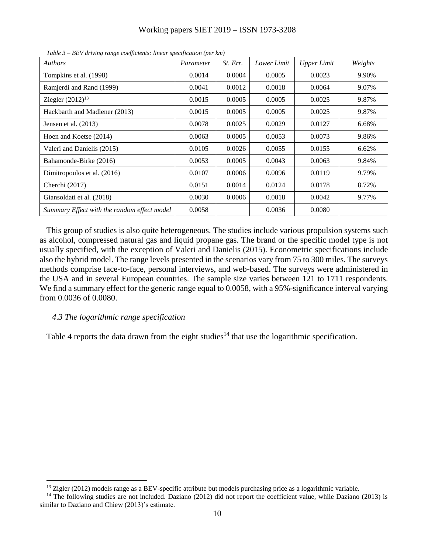<span id="page-9-0"></span>

| <b>Authors</b>                              | Parameter | St. Err. | Lower Limit | <b>Upper Limit</b> | Weights |
|---------------------------------------------|-----------|----------|-------------|--------------------|---------|
| Tompkins et al. (1998)                      | 0.0014    | 0.0004   | 0.0005      | 0.0023             | 9.90%   |
| Ramjerdi and Rand (1999)                    | 0.0041    | 0.0012   | 0.0018      | 0.0064             | 9.07%   |
| Ziegler $(2012)^{13}$                       | 0.0015    | 0.0005   | 0.0005      | 0.0025             | 9.87%   |
| Hackbarth and Madlener (2013)               | 0.0015    | 0.0005   | 0.0005      | 0.0025             | 9.87%   |
| Jensen et al. $(2013)$                      | 0.0078    | 0.0025   | 0.0029      | 0.0127             | 6.68%   |
| Hoen and Koetse (2014)                      | 0.0063    | 0.0005   | 0.0053      | 0.0073             | 9.86%   |
| Valeri and Danielis (2015)                  | 0.0105    | 0.0026   | 0.0055      | 0.0155             | 6.62%   |
| Bahamonde-Birke (2016)                      | 0.0053    | 0.0005   | 0.0043      | 0.0063             | 9.84%   |
| Dimitropoulos et al. (2016)                 | 0.0107    | 0.0006   | 0.0096      | 0.0119             | 9.79%   |
| Cherchi $(2017)$                            | 0.0151    | 0.0014   | 0.0124      | 0.0178             | 8.72%   |
| Giansoldati et al. (2018)                   | 0.0030    | 0.0006   | 0.0018      | 0.0042             | 9.77%   |
| Summary Effect with the random effect model | 0.0058    |          | 0.0036      | 0.0080             |         |

*Table 3 – BEV driving range coefficients: linear specification (per km)*

This group of studies is also quite heterogeneous. The studies include various propulsion systems such as alcohol, compressed natural gas and liquid propane gas. The brand or the specific model type is not usually specified, with the exception of Valeri and Danielis (2015). Econometric specifications include also the hybrid model. The range levels presented in the scenarios vary from 75 to 300 miles. The surveys methods comprise face-to-face, personal interviews, and web-based. The surveys were administered in the USA and in several European countries. The sample size varies between 121 to 1711 respondents. We find a summary effect for the generic range equal to 0.0058, with a 95%-significance interval varying from 0.0036 of 0.0080.

#### *4.3 The logarithmic range specification*

 $\overline{a}$ 

[Table 4](#page-10-0) reports the data drawn from the eight studies<sup>14</sup> that use the logarithmic specification.

 $^{13}$  Zigler (2012) models range as a BEV-specific attribute but models purchasing price as a logarithmic variable.

<sup>&</sup>lt;sup>14</sup> The following studies are not included. Daziano (2012) did not report the coefficient value, while Daziano (2013) is similar to Daziano and Chiew (2013)'s estimate.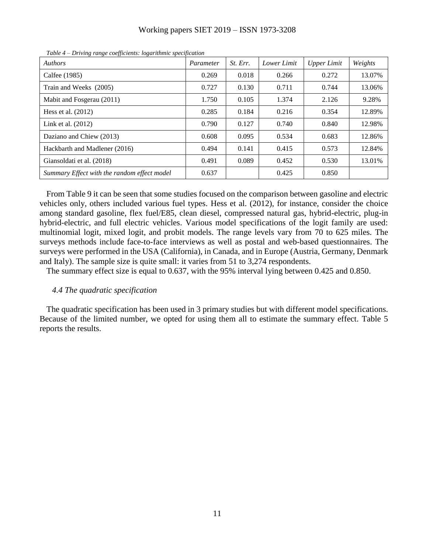| Working papers SIET 2019 - ISSN 1973-3208 |  |  |  |
|-------------------------------------------|--|--|--|
|-------------------------------------------|--|--|--|

<span id="page-10-0"></span>

| <i>Brirain range coofficients. togaritantee specification</i><br><b>Authors</b> | Parameter | St. Err. | Lower Limit | Upper Limit | Weights |
|---------------------------------------------------------------------------------|-----------|----------|-------------|-------------|---------|
| Calfee (1985)                                                                   | 0.269     | 0.018    | 0.266       | 0.272       | 13.07%  |
| Train and Weeks (2005)                                                          | 0.727     | 0.130    | 0.711       | 0.744       | 13.06%  |
| Mabit and Fosgerau (2011)                                                       | 1.750     | 0.105    | 1.374       | 2.126       | 9.28%   |
| Hess et al. $(2012)$                                                            | 0.285     | 0.184    | 0.216       | 0.354       | 12.89%  |
| Link et al. $(2012)$                                                            | 0.790     | 0.127    | 0.740       | 0.840       | 12.98%  |
| Daziano and Chiew (2013)                                                        | 0.608     | 0.095    | 0.534       | 0.683       | 12.86%  |
| Hackbarth and Madlener (2016)                                                   | 0.494     | 0.141    | 0.415       | 0.573       | 12.84%  |
| Giansoldati et al. (2018)                                                       | 0.491     | 0.089    | 0.452       | 0.530       | 13.01%  |
| Summary Effect with the random effect model                                     | 0.637     |          | 0.425       | 0.850       |         |

*Table 4 – Driving range coefficients: logarithmic specification* 

From [Table 9](#page-26-0) it can be seen that some studies focused on the comparison between gasoline and electric vehicles only, others included various fuel types. Hess et al. (2012), for instance, consider the choice among standard gasoline, flex fuel/E85, clean diesel, compressed natural gas, hybrid-electric, plug-in hybrid-electric, and full electric vehicles. Various model specifications of the logit family are used: multinomial logit, mixed logit, and probit models. The range levels vary from 70 to 625 miles. The surveys methods include face-to-face interviews as well as postal and web-based questionnaires. The surveys were performed in the USA (California), in Canada, and in Europe (Austria, Germany, Denmark and Italy). The sample size is quite small: it varies from 51 to 3,274 respondents.

The summary effect size is equal to 0.637, with the 95% interval lying between 0.425 and 0.850.

#### *4.4 The quadratic specification*

The quadratic specification has been used in 3 primary studies but with different model specifications. Because of the limited number, we opted for using them all to estimate the summary effect. [Table 5](#page-11-0) reports the results.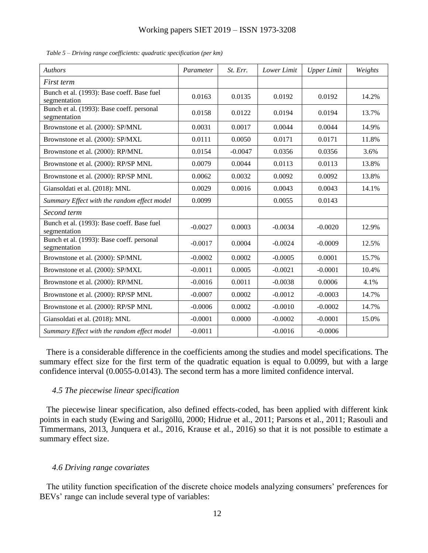| <b>Authors</b>                                             | Parameter | St. Err.  | Lower Limit | <b>Upper Limit</b> | Weights |
|------------------------------------------------------------|-----------|-----------|-------------|--------------------|---------|
| First term                                                 |           |           |             |                    |         |
| Bunch et al. (1993): Base coeff. Base fuel<br>segmentation | 0.0163    | 0.0135    | 0.0192      | 0.0192             | 14.2%   |
| Bunch et al. (1993): Base coeff. personal<br>segmentation  | 0.0158    | 0.0122    | 0.0194      | 0.0194             | 13.7%   |
| Brownstone et al. (2000): SP/MNL                           | 0.0031    | 0.0017    | 0.0044      | 0.0044             | 14.9%   |
| Brownstone et al. (2000): SP/MXL                           | 0.0111    | 0.0050    | 0.0171      | 0.0171             | 11.8%   |
| Brownstone et al. (2000): RP/MNL                           | 0.0154    | $-0.0047$ | 0.0356      | 0.0356             | 3.6%    |
| Brownstone et al. (2000): RP/SP MNL                        | 0.0079    | 0.0044    | 0.0113      | 0.0113             | 13.8%   |
| Brownstone et al. (2000): RP/SP MNL                        | 0.0062    | 0.0032    | 0.0092      | 0.0092             | 13.8%   |
| Giansoldati et al. (2018): MNL                             | 0.0029    | 0.0016    | 0.0043      | 0.0043             | 14.1%   |
| Summary Effect with the random effect model                | 0.0099    |           | 0.0055      | 0.0143             |         |
| Second term                                                |           |           |             |                    |         |
| Bunch et al. (1993): Base coeff. Base fuel<br>segmentation | $-0.0027$ | 0.0003    | $-0.0034$   | $-0.0020$          | 12.9%   |
| Bunch et al. (1993): Base coeff. personal<br>segmentation  | $-0.0017$ | 0.0004    | $-0.0024$   | $-0.0009$          | 12.5%   |
| Brownstone et al. (2000): SP/MNL                           | $-0.0002$ | 0.0002    | $-0.0005$   | 0.0001             | 15.7%   |
| Brownstone et al. (2000): SP/MXL                           | $-0.0011$ | 0.0005    | $-0.0021$   | $-0.0001$          | 10.4%   |
| Brownstone et al. (2000): RP/MNL                           | $-0.0016$ | 0.0011    | $-0.0038$   | 0.0006             | 4.1%    |
| Brownstone et al. (2000): RP/SP MNL                        | $-0.0007$ | 0.0002    | $-0.0012$   | $-0.0003$          | 14.7%   |
| Brownstone et al. (2000): RP/SP MNL                        | $-0.0006$ | 0.0002    | $-0.0010$   | $-0.0002$          | 14.7%   |
| Giansoldati et al. (2018): MNL                             | $-0.0001$ | 0.0000    | $-0.0002$   | $-0.0001$          | 15.0%   |
| Summary Effect with the random effect model                | $-0.0011$ |           | $-0.0016$   | $-0.0006$          |         |

<span id="page-11-0"></span>*Table 5 – Driving range coefficients: quadratic specification (per km)*

There is a considerable difference in the coefficients among the studies and model specifications. The summary effect size for the first term of the quadratic equation is equal to 0.0099, but with a large confidence interval (0.0055-0.0143). The second term has a more limited confidence interval.

#### *4.5 The piecewise linear specification*

The piecewise linear specification, also defined effects-coded, has been applied with different kink points in each study (Ewing and Sarigöllü, 2000; Hidrue et al., 2011; Parsons et al., 2011; Rasouli and Timmermans, 2013, Junquera et al., 2016, Krause et al., 2016) so that it is not possible to estimate a summary effect size.

#### *4.6 Driving range covariates*

The utility function specification of the discrete choice models analyzing consumers' preferences for BEVs' range can include several type of variables: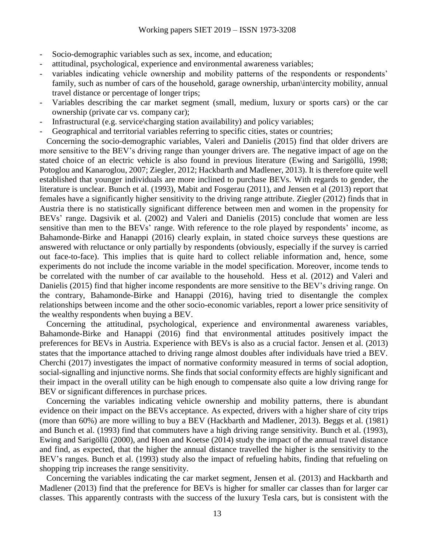- Socio-demographic variables such as sex, income, and education;
- attitudinal, psychological, experience and environmental awareness variables;
- variables indicating vehicle ownership and mobility patterns of the respondents or respondents' family, such as number of cars of the household, garage ownership, urban\intercity mobility, annual travel distance or percentage of longer trips;
- Variables describing the car market segment (small, medium, luxury or sports cars) or the car ownership (private car vs. company car);
- Infrastructural (e.g. service\charging station availability) and policy variables;
- Geographical and territorial variables referring to specific cities, states or countries;

Concerning the socio-demographic variables, Valeri and Danielis (2015) find that older drivers are more sensitive to the BEV's driving range than younger drivers are. The negative impact of age on the stated choice of an electric vehicle is also found in previous literature (Ewing and Sarigöllü, 1998; Potoglou and Kanaroglou, 2007; Ziegler, 2012; Hackbarth and Madlener, 2013). It is therefore quite well established that younger individuals are more inclined to purchase BEVs. With regards to gender, the literature is unclear. Bunch et al. (1993), Mabit and Fosgerau (2011), and Jensen et al (2013) report that females have a significantly higher sensitivity to the driving range attribute. Ziegler (2012) finds that in Austria there is no statistically significant difference between men and women in the propensity for BEVs' range. Dagsivik et al. (2002) and Valeri and Danielis (2015) conclude that women are less sensitive than men to the BEVs' range. With reference to the role played by respondents' income, as Bahamonde-Birke and Hanappi (2016) clearly explain, in stated choice surveys these questions are answered with reluctance or only partially by respondents (obviously, especially if the survey is carried out face-to-face). This implies that is quite hard to collect reliable information and, hence, some experiments do not include the income variable in the model specification. Moreover, income tends to be correlated with the number of car available to the household. Hess et al. (2012) and Valeri and Danielis (2015) find that higher income respondents are more sensitive to the BEV's driving range. On the contrary, Bahamonde-Birke and Hanappi (2016), having tried to disentangle the complex relationships between income and the other socio-economic variables, report a lower price sensitivity of the wealthy respondents when buying a BEV.

Concerning the attitudinal, psychological, experience and environmental awareness variables, Bahamonde-Birke and Hanappi (2016) find that environmental attitudes positively impact the preferences for BEVs in Austria. Experience with BEVs is also as a crucial factor. Jensen et al. (2013) states that the importance attached to driving range almost doubles after individuals have tried a BEV. Cherchi (2017) investigates the impact of normative conformity measured in terms of social adoption, social-signalling and injunctive norms. She finds that social conformity effects are highly significant and their impact in the overall utility can be high enough to compensate also quite a low driving range for BEV or significant differences in purchase prices.

Concerning the variables indicating vehicle ownership and mobility patterns, there is abundant evidence on their impact on the BEVs acceptance. As expected, drivers with a higher share of city trips (more than 60%) are more willing to buy a BEV (Hackbarth and Madlener, 2013). Beggs et al. (1981) and Bunch et al. (1993) find that commuters have a high driving range sensitivity. Bunch et al. (1993), Ewing and Sarigöllü (2000), and Hoen and Koetse (2014) study the impact of the annual travel distance and find, as expected, that the higher the annual distance travelled the higher is the sensitivity to the BEV's ranges. Bunch et al. (1993) study also the impact of refueling habits, finding that refueling on shopping trip increases the range sensitivity.

Concerning the variables indicating the car market segment, Jensen et al. (2013) and Hackbarth and Madlener (2013) find that the preference for BEVs is higher for smaller car classes than for larger car classes. This apparently contrasts with the success of the luxury Tesla cars, but is consistent with the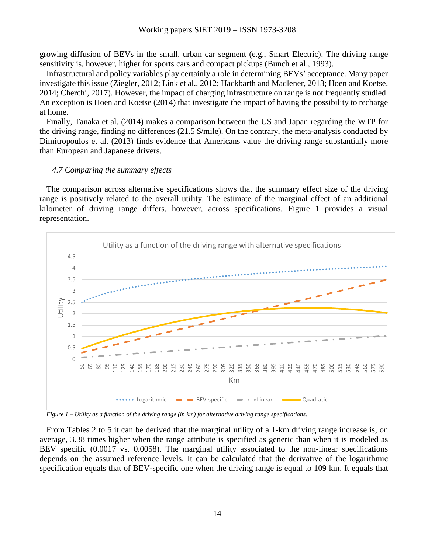growing diffusion of BEVs in the small, urban car segment (e.g., Smart Electric). The driving range sensitivity is, however, higher for sports cars and compact pickups (Bunch et al., 1993).

Infrastructural and policy variables play certainly a role in determining BEVs' acceptance. Many paper investigate this issue (Ziegler, 2012; Link et al., 2012; Hackbarth and Madlener, 2013; Hoen and Koetse, 2014; Cherchi, 2017). However, the impact of charging infrastructure on range is not frequently studied. An exception is Hoen and Koetse (2014) that investigate the impact of having the possibility to recharge at home.

Finally, Tanaka et al. (2014) makes a comparison between the US and Japan regarding the WTP for the driving range, finding no differences (21.5 \$/mile). On the contrary, the meta-analysis conducted by Dimitropoulos et al. (2013) finds evidence that Americans value the driving range substantially more than European and Japanese drivers.

#### *4.7 Comparing the summary effects*

The comparison across alternative specifications shows that the summary effect size of the driving range is positively related to the overall utility. The estimate of the marginal effect of an additional kilometer of driving range differs, however, across specifications. [Figure 1](#page-13-0) provides a visual representation.



<span id="page-13-0"></span>*Figure 1 – Utility as a function of the driving range (in km) for alternative driving range specifications.* 

From Tables 2 to 5 it can be derived that the marginal utility of a 1-km driving range increase is, on average, 3.38 times higher when the range attribute is specified as generic than when it is modeled as BEV specific (0.0017 vs. 0.0058). The marginal utility associated to the non-linear specifications depends on the assumed reference levels. It can be calculated that the derivative of the logarithmic specification equals that of BEV-specific one when the driving range is equal to 109 km. It equals that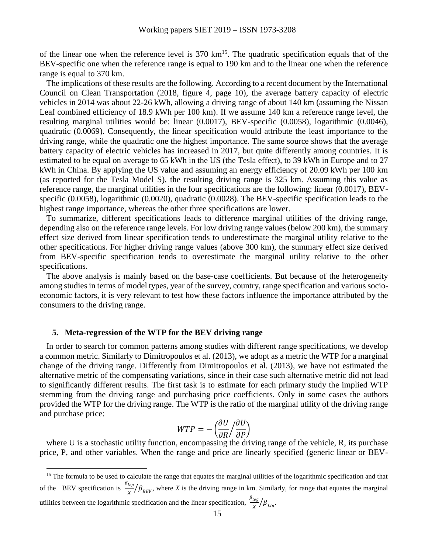of the linear one when the reference level is  $370 \text{ km}^{15}$ . The quadratic specification equals that of the BEV-specific one when the reference range is equal to 190 km and to the linear one when the reference range is equal to 370 km.

The implications of these results are the following. According to a recent document by the International Council on Clean Transportation (2018, figure 4, page 10), the average battery capacity of electric vehicles in 2014 was about 22-26 kWh, allowing a driving range of about 140 km (assuming the Nissan Leaf combined efficiency of 18.9 kWh per 100 km). If we assume 140 km a reference range level, the resulting marginal utilities would be: linear (0.0017), BEV-specific (0.0058), logarithmic (0.0046), quadratic (0.0069). Consequently, the linear specification would attribute the least importance to the driving range, while the quadratic one the highest importance. The same source shows that the average battery capacity of electric vehicles has increased in 2017, but quite differently among countries. It is estimated to be equal on average to 65 kWh in the US (the Tesla effect), to 39 kWh in Europe and to 27 kWh in China. By applying the US value and assuming an energy efficiency of 20.09 kWh per 100 km (as reported for the Tesla Model S), the resulting driving range is 325 km. Assuming this value as reference range, the marginal utilities in the four specifications are the following: linear (0.0017), BEVspecific (0.0058), logarithmic (0.0020), quadratic (0.0028). The BEV-specific specification leads to the highest range importance, whereas the other three specifications are lower.

To summarize, different specifications leads to difference marginal utilities of the driving range, depending also on the reference range levels. For low driving range values (below 200 km), the summary effect size derived from linear specification tends to underestimate the marginal utility relative to the other specifications. For higher driving range values (above 300 km), the summary effect size derived from BEV-specific specification tends to overestimate the marginal utility relative to the other specifications.

The above analysis is mainly based on the base-case coefficients. But because of the heterogeneity among studies in terms of model types, year of the survey, country, range specification and various socioeconomic factors, it is very relevant to test how these factors influence the importance attributed by the consumers to the driving range.

#### **5. Meta-regression of the WTP for the BEV driving range**

 $\overline{a}$ 

In order to search for common patterns among studies with different range specifications, we develop a common metric. Similarly to Dimitropoulos et al. (2013), we adopt as a metric the WTP for a marginal change of the driving range. Differently from Dimitropoulos et al. (2013), we have not estimated the alternative metric of the compensating variations, since in their case such alternative metric did not lead to significantly different results. The first task is to estimate for each primary study the implied WTP stemming from the driving range and purchasing price coefficients. Only in some cases the authors provided the WTP for the driving range. The WTP is the ratio of the marginal utility of the driving range and purchase price:

$$
WTP = -\left(\frac{\partial U}{\partial R} / \frac{\partial U}{\partial P}\right)
$$

where U is a stochastic utility function, encompassing the driving range of the vehicle, R, its purchase price, P, and other variables. When the range and price are linearly specified (generic linear or BEV-

<sup>&</sup>lt;sup>15</sup> The formula to be used to calculate the range that equates the marginal utilities of the logarithmic specification and that of the BEV specification is  $\frac{\beta_{log}}{r}$  $\frac{\log f}{X}/\beta_{BEV}$ , where *X* is the driving range in km. Similarly, for range that equates the marginal utilities between the logarithmic specification and the linear specification,  $\frac{\beta_{\log}}{N}$  $\frac{\log}{X}/\beta_{Lin}.$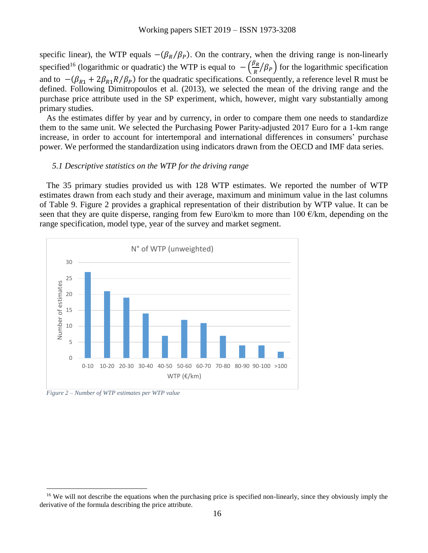specific linear), the WTP equals  $-(\beta_R/\beta_P)$ . On the contrary, when the driving range is non-linearly specified<sup>16</sup> (logarithmic or quadratic) the WTP is equal to  $-\left(\frac{\beta_R}{R}\right)$  $\frac{\partial R}{\partial R}/\beta_P$  for the logarithmic specification and to  $-(\beta_{R1} + 2\beta_{R1}R/\beta_P)$  for the quadratic specifications. Consequently, a reference level R must be defined. Following Dimitropoulos et al. (2013), we selected the mean of the driving range and the purchase price attribute used in the SP experiment, which, however, might vary substantially among primary studies.

As the estimates differ by year and by currency, in order to compare them one needs to standardize them to the same unit. We selected the Purchasing Power Parity-adjusted 2017 Euro for a 1-km range increase, in order to account for intertemporal and international differences in consumers' purchase power. We performed the standardization using indicators drawn from the OECD and IMF data series.

#### *5.1 Descriptive statistics on the WTP for the driving range*

The 35 primary studies provided us with 128 WTP estimates. We reported the number of WTP estimates drawn from each study and their average, maximum and minimum value in the last columns of [Table 9.](#page-26-0) [Figure 2](#page-15-0) provides a graphical representation of their distribution by WTP value. It can be seen that they are quite disperse, ranging from few Euro\km to more than 100  $\epsilon$ /km, depending on the range specification, model type, year of the survey and market segment.



<span id="page-15-1"></span><span id="page-15-0"></span>*Figure 2 – Number of WTP estimates per WTP value*

<sup>&</sup>lt;sup>16</sup> We will not describe the equations when the purchasing price is specified non-linearly, since they obviously imply the derivative of the formula describing the price attribute.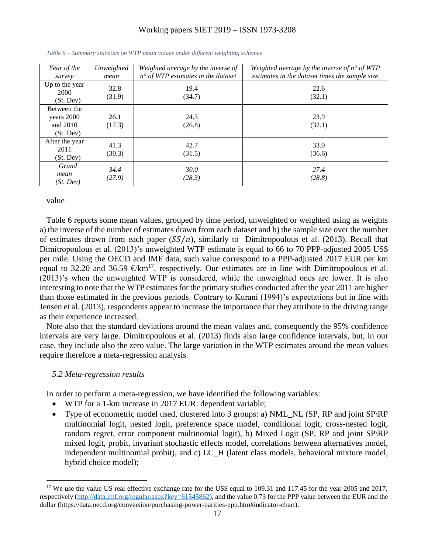| Year of the<br>survey                                | Unweighted<br>mean | Weighted average by the inverse of<br>$n^{\circ}$ of WTP estimates in the dataset | Weighted average by the inverse of $n^{\circ}$ of WTP<br>estimates in the dataset times the sample size |
|------------------------------------------------------|--------------------|-----------------------------------------------------------------------------------|---------------------------------------------------------------------------------------------------------|
| Up to the year<br>2000<br>(St. Dev)                  | 32.8<br>(31.9)     | 19.4<br>(34.7)                                                                    | 22.6<br>(32.1)                                                                                          |
| Between the<br>years 2000<br>and $2010$<br>(St. Dev) | 26.1<br>(17.3)     | 24.5<br>(26.8)                                                                    | 23.9<br>(32.1)                                                                                          |
| After the year<br>2011<br>(St. Dev)                  | 41.3<br>(30.3)     | 42.7<br>(31.5)                                                                    | 33.0<br>(36.6)                                                                                          |
| Grand<br>mean<br>(St. Dev)                           | 34.4<br>(27.9)     | 30.0<br>(28.3)                                                                    | 27.4<br>(28.8)                                                                                          |

*Table 6 – Summary statistics on WTP mean values under different weighting schemes*

[value](#page-15-1)

 $\overline{a}$ 

[Table 6](#page-15-1) reports some mean values, grouped by time period, unweighted or weighted using as weights a) the inverse of the number of estimates drawn from each dataset and b) the sample size over the number of estimates drawn from each paper  $(SS/n)$ , similarly to Dimitropoulous et al. (2013). Recall that Dimitropoulous et al. (2013)'s unweighted WTP estimate is equal to 66 to 70 PPP-adjusted 2005 US\$ per mile. Using the OECD and IMF data, such value correspond to a PPP-adjusted 2017 EUR per km equal to 32.20 and 36.59  $\epsilon/km^{17}$ , respectively. Our estimates are in line with Dimitropoulous et al. (2013)'s when the unweighted WTP is considered, while the unweighted ones are lower. It is also interesting to note that the WTP estimates for the primary studies conducted after the year 2011 are higher than those estimated in the previous periods. Contrary to Kurani (1994)'s expectations but in line with Jensen et al. (2013), respondents appear to increase the importance that they attribute to the driving range as their experience increased.

Note also that the standard deviations around the mean values and, consequently the 95% confidence intervals are very large. Dimitropoulous et al. (2013) finds also large confidence intervals, but, in our case, they include also the zero value. The large variation in the WTP estimates around the mean values require therefore a meta-regression analysis.

#### *5.2 Meta-regression results*

In order to perform a meta-regression, we have identified the following variables:

- WTP for a 1-km increase in 2017 EUR: dependent variable;
- Type of econometric model used, clustered into 3 groups: a) NML\_NL (SP, RP and joint SP\RP multinomial logit, nested logit, preference space model, conditional logit, cross-nested logit, random regret, error component multinomial logit), b) Mixed Logit (SP, RP and joint SP\RP mixed logit, probit, invariant stochastic effects model, correlations between alternatives model, independent multinomial probit), and c) LC\_H (latent class models, behavioral mixture model, hybrid choice model);

<sup>&</sup>lt;sup>17</sup> We use the value US real effective exchange rate for the US\$ equal to 109.31 and 117.45 for the year 2005 and 2017, respectively [\(http://data.imf.org/regular.aspx?key=61545862\)](http://data.imf.org/regular.aspx?key=61545862), and the value 0.73 for the PPP value between the EUR and the dollar (https://data.oecd.org/conversion/purchasing-power-parities-ppp.htm#indicator-chart).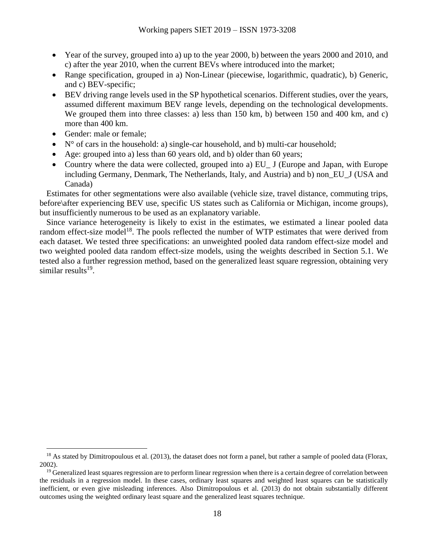- Year of the survey, grouped into a) up to the year 2000, b) between the years 2000 and 2010, and c) after the year 2010, when the current BEVs where introduced into the market;
- Range specification, grouped in a) Non-Linear (piecewise, logarithmic, quadratic), b) Generic, and c) BEV-specific;
- BEV driving range levels used in the SP hypothetical scenarios. Different studies, over the years, assumed different maximum BEV range levels, depending on the technological developments. We grouped them into three classes: a) less than 150 km, b) between 150 and 400 km, and c) more than 400 km.
- Gender: male or female;

 $\overline{a}$ 

- $\bullet$  N° of cars in the household: a) single-car household, and b) multi-car household;
- Age: grouped into a) less than 60 years old, and b) older than 60 years;
- Country where the data were collected, grouped into a) EU J (Europe and Japan, with Europe including Germany, Denmark, The Netherlands, Italy, and Austria) and b) non\_EU\_J (USA and Canada)

Estimates for other segmentations were also available (vehicle size, travel distance, commuting trips, before\after experiencing BEV use, specific US states such as California or Michigan, income groups), but insufficiently numerous to be used as an explanatory variable.

Since variance heterogeneity is likely to exist in the estimates, we estimated a linear pooled data random effect-size model<sup>18</sup>. The pools reflected the number of WTP estimates that were derived from each dataset. We tested three specifications: an unweighted pooled data random effect-size model and two weighted pooled data random effect-size models, using the weights described in Section 5.1. We tested also a further regression method, based on the generalized least square regression, obtaining very similar results<sup>19</sup>.

 $18$  As stated by Dimitropoulous et al. (2013), the dataset does not form a panel, but rather a sample of pooled data (Florax, 2002).

<sup>&</sup>lt;sup>19</sup> Generalized least squares regression are to perform linear regression when there is a certain degree of correlation between the residuals in a regression model. In these cases, ordinary least squares and weighted least squares can be statistically inefficient, or even give misleading inferences. Also Dimitropoulous et al. (2013) do not obtain substantially different outcomes using the weighted ordinary least square and the generalized least squares technique.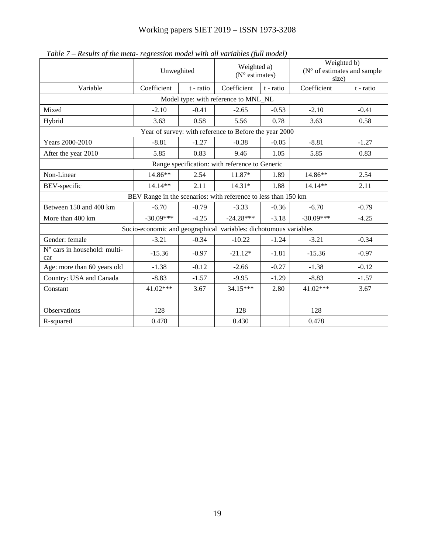<span id="page-18-0"></span>

|                                                | Unweghited                                             |           | Weighted a)<br>$(N^{\circ}$ estimates)                           |           | Weighted b)<br>$(N^{\circ}$ of estimates and sample<br>size) |           |  |  |  |  |  |
|------------------------------------------------|--------------------------------------------------------|-----------|------------------------------------------------------------------|-----------|--------------------------------------------------------------|-----------|--|--|--|--|--|
| Variable                                       | Coefficient                                            | t - ratio | Coefficient                                                      | t - ratio | Coefficient                                                  | t - ratio |  |  |  |  |  |
| Model type: with reference to MNL_NL           |                                                        |           |                                                                  |           |                                                              |           |  |  |  |  |  |
| Mixed                                          | $-2.10$                                                | $-0.41$   | $-2.65$                                                          | $-0.53$   | $-2.10$                                                      | $-0.41$   |  |  |  |  |  |
| Hybrid                                         | 3.63                                                   | 0.58      | 5.56                                                             | 0.78      | 3.63                                                         | 0.58      |  |  |  |  |  |
|                                                | Year of survey: with reference to Before the year 2000 |           |                                                                  |           |                                                              |           |  |  |  |  |  |
| Years 2000-2010                                | $-8.81$                                                | $-1.27$   | $-0.38$                                                          | $-0.05$   | $-8.81$                                                      | $-1.27$   |  |  |  |  |  |
| After the year 2010                            | 5.85                                                   | 0.83      | 9.46                                                             | 1.05      | 5.85                                                         | 0.83      |  |  |  |  |  |
| Range specification: with reference to Generic |                                                        |           |                                                                  |           |                                                              |           |  |  |  |  |  |
| Non-Linear                                     | 14.86**                                                | 2.54      | 11.87*                                                           | 1.89      | 14.86**                                                      | 2.54      |  |  |  |  |  |
| BEV-specific                                   | 14.14**                                                | 2.11      | $14.31*$                                                         | 1.88      | 14.14**                                                      | 2.11      |  |  |  |  |  |
|                                                |                                                        |           | BEV Range in the scenarios: with reference to less than 150 km   |           |                                                              |           |  |  |  |  |  |
| Between 150 and 400 km                         | $-6.70$                                                | $-0.79$   | $-3.33$                                                          | $-0.36$   | $-6.70$                                                      | $-0.79$   |  |  |  |  |  |
| More than 400 km                               | $-30.09***$                                            | $-4.25$   | $-24.28***$                                                      | $-3.18$   | $-30.09***$                                                  | $-4.25$   |  |  |  |  |  |
|                                                |                                                        |           | Socio-economic and geographical variables: dichotomous variables |           |                                                              |           |  |  |  |  |  |
| Gender: female                                 | $-3.21$                                                | $-0.34$   | $-10.22$                                                         | $-1.24$   | $-3.21$                                                      | $-0.34$   |  |  |  |  |  |
| N° cars in household: multi-<br>car            | $-15.36$                                               | $-0.97$   | $-21.12*$                                                        | $-1.81$   | $-15.36$                                                     | $-0.97$   |  |  |  |  |  |
| Age: more than 60 years old                    | $-1.38$                                                | $-0.12$   | $-2.66$                                                          | $-0.27$   | $-1.38$                                                      | $-0.12$   |  |  |  |  |  |
| Country: USA and Canada                        | $-8.83$                                                | $-1.57$   | $-9.95$                                                          | $-1.29$   | $-8.83$                                                      | $-1.57$   |  |  |  |  |  |
| Constant                                       | 41.02***                                               | 3.67      | 34.15***                                                         | 2.80      | 41.02***                                                     | 3.67      |  |  |  |  |  |
|                                                |                                                        |           |                                                                  |           |                                                              |           |  |  |  |  |  |
| Observations                                   | 128                                                    |           | 128                                                              |           | 128                                                          |           |  |  |  |  |  |
| R-squared                                      | 0.478                                                  |           | 0.430                                                            |           | 0.478                                                        |           |  |  |  |  |  |

*Table 7 – Results of the meta- regression model with all variables (full model)*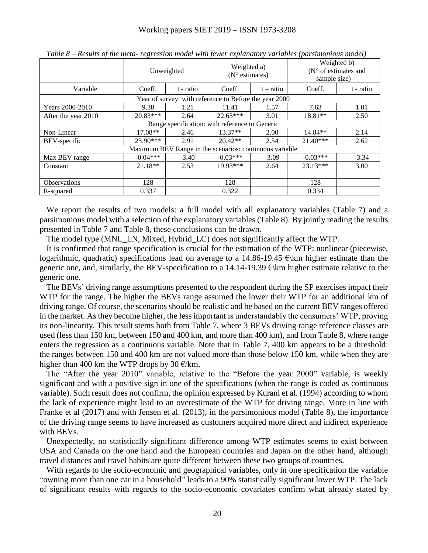|                     |            | Unweighted | Weighted a)<br>$(N^{\circ}$ estimates)                  |             | Weighted b)<br>( $N^{\circ}$ of estimates and<br>sample size) |           |  |
|---------------------|------------|------------|---------------------------------------------------------|-------------|---------------------------------------------------------------|-----------|--|
| Variable            | Coeff.     | t - ratio  | Coeff.                                                  | $t - ratio$ | Coeff.                                                        | t - ratio |  |
|                     |            |            | Year of survey: with reference to Before the year 2000  |             |                                                               |           |  |
| Years 2000-2010     | 9.38       | 1.21       | 11.41                                                   | 1.57        | 7.63                                                          | 1.01      |  |
| After the year 2010 | $20.83***$ | 2.64       | $22.65***$                                              | 3.01        | $18.81**$                                                     | 2.50      |  |
|                     |            |            | Range specification: with reference to Generic          |             |                                                               |           |  |
| Non-Linear          | $17.08**$  | 2.46       | $13.37**$                                               | 2.00        | $14.84**$                                                     | 2.14      |  |
| BEV-specific        | $23.90***$ | 2.91       | $20.42**$                                               | 2.54        | $21.40***$                                                    | 2.62      |  |
|                     |            |            | Maximum BEV Range in the scenarios: continuous variable |             |                                                               |           |  |
| Max BEV range       | $-0.04***$ | $-3.40$    | $-0.03***$                                              | $-3.09$     | $-0.03***$                                                    | $-3.34$   |  |
| Constant            | $21.18**$  | 2.53       | 19.93***                                                | 2.64        | 23.13***                                                      | 3.00      |  |
|                     |            |            |                                                         |             |                                                               |           |  |
| <b>Observations</b> | 128        |            | 128                                                     |             | 128                                                           |           |  |
| R-squared           | 0.337      |            | 0.322                                                   |             | 0.334                                                         |           |  |

<span id="page-19-0"></span>*Table 8 – Results of the meta- regression model with fewer explanatory variables (parsimonious model)*

We report the results of two models: a full model with all explanatory variables [\(Table 7\)](#page-18-0) and a parsimonious model with a selection of the explanatory variables [\(Table 8\)](#page-19-0). By jointly reading the results presented in [Table 7](#page-18-0) and [Table 8,](#page-19-0) these conclusions can be drawn.

The model type (MNL\_LN, Mixed, Hybrid\_LC) does not significantly affect the WTP.

It is confirmed that range specification is crucial for the estimation of the WTP: nonlinear (piecewise, logarithmic, quadratic) specifications lead on average to a 14.86-19.45  $\epsilon$ \km higher estimate than the generic one, and, similarly, the BEV-specification to a 14.14-19.39  $\epsilon$  km higher estimate relative to the generic one.

The BEVs' driving range assumptions presented to the respondent during the SP exercises impact their WTP for the range. The higher the BEVs range assumed the lower their WTP for an additional km of driving range. Of course, the scenarios should be realistic and be based on the current BEV ranges offered in the market. As they become higher, the less important is understandably the consumers' WTP, proving its non-linearity. This result stems both from [Table 7,](#page-18-0) where 3 BEVs driving range reference classes are used (less than 150 km, between 150 and 400 km, and more than 400 km), and from [Table 8,](#page-19-0) where range enters the regression as a continuous variable. Note that in [Table 7,](#page-18-0) 400 km appears to be a threshold: the ranges between 150 and 400 km are not valued more than those below 150 km, while when they are higher than 400 km the WTP drops by 30  $\epsilon$ /km.

The "After the year 2010" variable, relative to the "Before the year 2000" variable, is weekly significant and with a positive sign in one of the specifications (when the range is coded as continuous variable). Such result does not confirm, the opinion expressed by Kurani et al. (1994) according to whom the lack of experience might lead to an overestimate of the WTP for driving range. More in line with Franke et al (2017) and with Jensen et al. (2013), in the parsimonious model [\(Table 8\)](#page-19-0), the importance of the driving range seems to have increased as customers acquired more direct and indirect experience with BEVs.

Unexpectedly, no statistically significant difference among WTP estimates seems to exist between USA and Canada on the one hand and the European countries and Japan on the other hand, although travel distances and travel habits are quite different between these two groups of countries.

With regards to the socio-economic and geographical variables, only in one specification the variable "owning more than one car in a household" leads to a 90% statistically significant lower WTP. The lack of significant results with regards to the socio-economic covariates confirm what already stated by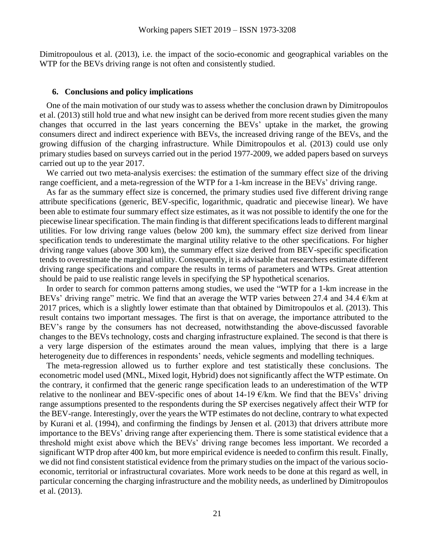Dimitropoulous et al. (2013), i.e. the impact of the socio-economic and geographical variables on the WTP for the BEVs driving range is not often and consistently studied.

#### **6. Conclusions and policy implications**

One of the main motivation of our study was to assess whether the conclusion drawn by Dimitropoulos et al. (2013) still hold true and what new insight can be derived from more recent studies given the many changes that occurred in the last years concerning the BEVs' uptake in the market, the growing consumers direct and indirect experience with BEVs, the increased driving range of the BEVs, and the growing diffusion of the charging infrastructure. While Dimitropoulos et al. (2013) could use only primary studies based on surveys carried out in the period 1977-2009, we added papers based on surveys carried out up to the year 2017.

We carried out two meta-analysis exercises: the estimation of the summary effect size of the driving range coefficient, and a meta-regression of the WTP for a 1-km increase in the BEVs' driving range.

As far as the summary effect size is concerned, the primary studies used five different driving range attribute specifications (generic, BEV-specific, logarithmic, quadratic and piecewise linear). We have been able to estimate four summary effect size estimates, as it was not possible to identify the one for the piecewise linear specification. The main finding is that different specifications leads to different marginal utilities. For low driving range values (below 200 km), the summary effect size derived from linear specification tends to underestimate the marginal utility relative to the other specifications. For higher driving range values (above 300 km), the summary effect size derived from BEV-specific specification tends to overestimate the marginal utility. Consequently, it is advisable that researchers estimate different driving range specifications and compare the results in terms of parameters and WTPs. Great attention should be paid to use realistic range levels in specifying the SP hypothetical scenarios.

In order to search for common patterns among studies, we used the "WTP for a 1-km increase in the BEVs' driving range" metric. We find that an average the WTP varies between 27.4 and 34.4  $\epsilon$ /km at 2017 prices, which is a slightly lower estimate than that obtained by Dimitropoulos et al. (2013). This result contains two important messages. The first is that on average, the importance attributed to the BEV's range by the consumers has not decreased, notwithstanding the above-discussed favorable changes to the BEVs technology, costs and charging infrastructure explained. The second is that there is a very large dispersion of the estimates around the mean values, implying that there is a large heterogeneity due to differences in respondents' needs, vehicle segments and modelling techniques.

The meta-regression allowed us to further explore and test statistically these conclusions. The econometric model used (MNL, Mixed logit, Hybrid) does not significantly affect the WTP estimate. On the contrary, it confirmed that the generic range specification leads to an underestimation of the WTP relative to the nonlinear and BEV-specific ones of about 14-19  $E/km$ . We find that the BEVs' driving range assumptions presented to the respondents during the SP exercises negatively affect their WTP for the BEV-range. Interestingly, over the years the WTP estimates do not decline, contrary to what expected by Kurani et al. (1994), and confirming the findings by Jensen et al. (2013) that drivers attribute more importance to the BEVs' driving range after experiencing them. There is some statistical evidence that a threshold might exist above which the BEVs' driving range becomes less important. We recorded a significant WTP drop after 400 km, but more empirical evidence is needed to confirm this result. Finally, we did not find consistent statistical evidence from the primary studies on the impact of the various socioeconomic, territorial or infrastructural covariates. More work needs to be done at this regard as well, in particular concerning the charging infrastructure and the mobility needs, as underlined by Dimitropoulos et al. (2013).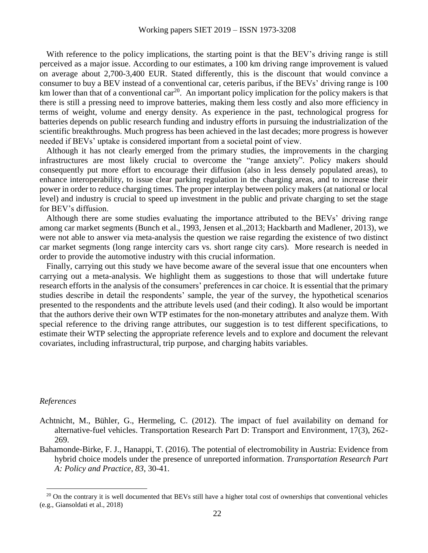With reference to the policy implications, the starting point is that the BEV's driving range is still perceived as a major issue. According to our estimates, a 100 km driving range improvement is valued on average about 2,700-3,400 EUR. Stated differently, this is the discount that would convince a consumer to buy a BEV instead of a conventional car, ceteris paribus, if the BEVs' driving range is 100 km lower than that of a conventional  $car^{20}$ . An important policy implication for the policy makers is that there is still a pressing need to improve batteries, making them less costly and also more efficiency in terms of weight, volume and energy density. As experience in the past, technological progress for batteries depends on public research funding and industry efforts in pursuing the industrialization of the scientific breakthroughs. Much progress has been achieved in the last decades; more progress is however needed if BEVs' uptake is considered important from a societal point of view.

Although it has not clearly emerged from the primary studies, the improvements in the charging infrastructures are most likely crucial to overcome the "range anxiety". Policy makers should consequently put more effort to encourage their diffusion (also in less densely populated areas), to enhance interoperability, to issue clear parking regulation in the charging areas, and to increase their power in order to reduce charging times. The proper interplay between policy makers (at national or local level) and industry is crucial to speed up investment in the public and private charging to set the stage for BEV's diffusion.

Although there are some studies evaluating the importance attributed to the BEVs' driving range among car market segments (Bunch et al., 1993, Jensen et al.,2013; Hackbarth and Madlener, 2013), we were not able to answer via meta-analysis the question we raise regarding the existence of two distinct car market segments (long range intercity cars vs. short range city cars). More research is needed in order to provide the automotive industry with this crucial information.

Finally, carrying out this study we have become aware of the several issue that one encounters when carrying out a meta-analysis. We highlight them as suggestions to those that will undertake future research efforts in the analysis of the consumers' preferences in car choice. It is essential that the primary studies describe in detail the respondents' sample, the year of the survey, the hypothetical scenarios presented to the respondents and the attribute levels used (and their coding). It also would be important that the authors derive their own WTP estimates for the non-monetary attributes and analyze them. With special reference to the driving range attributes, our suggestion is to test different specifications, to estimate their WTP selecting the appropriate reference levels and to explore and document the relevant covariates, including infrastructural, trip purpose, and charging habits variables.

#### *References*

- Achtnicht, M., Bühler, G., Hermeling, C. (2012). The impact of fuel availability on demand for alternative-fuel vehicles. Transportation Research Part D: Transport and Environment, 17(3), 262- 269.
- Bahamonde-Birke, F. J., Hanappi, T. (2016). The potential of electromobility in Austria: Evidence from hybrid choice models under the presence of unreported information. *Transportation Research Part A: Policy and Practice*, *83*, 30-41.

 $20$  On the contrary it is well documented that BEVs still have a higher total cost of ownerships that conventional vehicles (e.g., Giansoldati et al., 2018)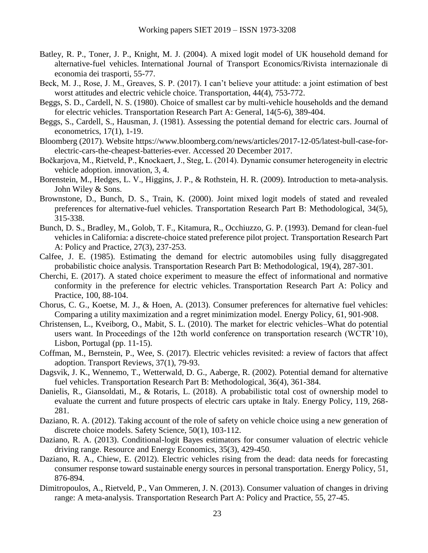- Batley, R. P., Toner, J. P., Knight, M. J. (2004). A mixed logit model of UK household demand for alternative-fuel vehicles. International Journal of Transport Economics/Rivista internazionale di economia dei trasporti, 55-77.
- Beck, M. J., Rose, J. M., Greaves, S. P. (2017). I can't believe your attitude: a joint estimation of best worst attitudes and electric vehicle choice. Transportation, 44(4), 753-772.
- Beggs, S. D., Cardell, N. S. (1980). Choice of smallest car by multi-vehicle households and the demand for electric vehicles. Transportation Research Part A: General, 14(5-6), 389-404.
- Beggs, S., Cardell, S., Hausman, J. (1981). Assessing the potential demand for electric cars. Journal of econometrics, 17(1), 1-19.
- Bloomberg (2017). Website [https://www.bloomberg.com/news/articles/2017-12-05/latest-bull-case-for](https://www.bloomberg.com/news/articles/2017-12-05/latest-bull-case-for-electric-cars-the-cheapest-batteries-ever.%20Accessed%2020%20December%202017)[electric-cars-the-cheapest-batteries-ever. Accessed 20 December 2017.](https://www.bloomberg.com/news/articles/2017-12-05/latest-bull-case-for-electric-cars-the-cheapest-batteries-ever.%20Accessed%2020%20December%202017)
- Bočkarjova, M., Rietveld, P., Knockaert, J., Steg, L. (2014). Dynamic consumer heterogeneity in electric vehicle adoption. innovation, 3, 4.
- Borenstein, M., Hedges, L. V., Higgins, J. P., & Rothstein, H. R. (2009). Introduction to meta-analysis. John Wiley & Sons.
- Brownstone, D., Bunch, D. S., Train, K. (2000). Joint mixed logit models of stated and revealed preferences for alternative-fuel vehicles. Transportation Research Part B: Methodological, 34(5), 315-338.
- Bunch, D. S., Bradley, M., Golob, T. F., Kitamura, R., Occhiuzzo, G. P. (1993). Demand for clean-fuel vehicles in California: a discrete-choice stated preference pilot project. Transportation Research Part A: Policy and Practice, 27(3), 237-253.
- Calfee, J. E. (1985). Estimating the demand for electric automobiles using fully disaggregated probabilistic choice analysis. Transportation Research Part B: Methodological, 19(4), 287-301.
- Cherchi, E. (2017). A stated choice experiment to measure the effect of informational and normative conformity in the preference for electric vehicles. Transportation Research Part A: Policy and Practice, 100, 88-104.
- Chorus, C. G., Koetse, M. J., & Hoen, A. (2013). Consumer preferences for alternative fuel vehicles: Comparing a utility maximization and a regret minimization model. Energy Policy, 61, 901-908.
- Christensen, L., Kveiborg, O., Mabit, S. L. (2010). The market for electric vehicles–What do potential users want. In Proceedings of the 12th world conference on transportation research (WCTR'10), Lisbon, Portugal (pp. 11-15).
- Coffman, M., Bernstein, P., Wee, S. (2017). Electric vehicles revisited: a review of factors that affect adoption. Transport Reviews, 37(1), 79-93.
- Dagsvik, J. K., Wennemo, T., Wetterwald, D. G., Aaberge, R. (2002). Potential demand for alternative fuel vehicles. Transportation Research Part B: Methodological, 36(4), 361-384.
- Danielis, R., Giansoldati, M., & Rotaris, L. (2018). A probabilistic total cost of ownership model to evaluate the current and future prospects of electric cars uptake in Italy. Energy Policy, 119, 268- 281.
- Daziano, R. A. (2012). Taking account of the role of safety on vehicle choice using a new generation of discrete choice models. Safety Science, 50(1), 103-112.
- Daziano, R. A. (2013). Conditional-logit Bayes estimators for consumer valuation of electric vehicle driving range. Resource and Energy Economics, 35(3), 429-450.
- Daziano, R. A., Chiew, E. (2012). Electric vehicles rising from the dead: data needs for forecasting consumer response toward sustainable energy sources in personal transportation. Energy Policy, 51, 876-894.
- Dimitropoulos, A., Rietveld, P., Van Ommeren, J. N. (2013). Consumer valuation of changes in driving range: A meta-analysis. Transportation Research Part A: Policy and Practice, 55, 27-45.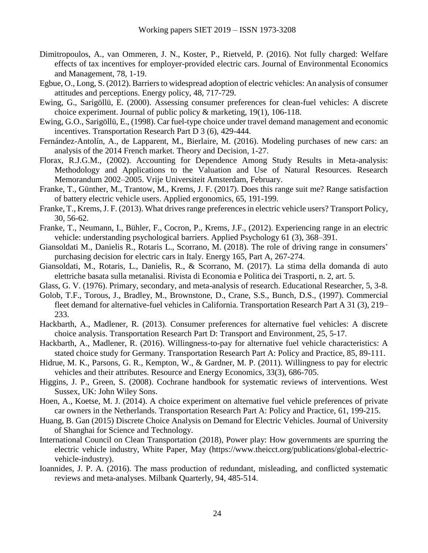- Dimitropoulos, A., van Ommeren, J. N., Koster, P., Rietveld, P. (2016). Not fully charged: Welfare effects of tax incentives for employer-provided electric cars. Journal of Environmental Economics and Management, 78, 1-19.
- Egbue, O., Long, S. (2012). Barriers to widespread adoption of electric vehicles: An analysis of consumer attitudes and perceptions. Energy policy, 48, 717-729.
- Ewing, G., Sarigöllü, E. (2000). Assessing consumer preferences for clean-fuel vehicles: A discrete choice experiment. Journal of public policy & marketing, 19(1), 106-118.
- Ewing, G.O., Sarigöllü, E., (1998). Car fuel-type choice under travel demand management and economic incentives. Transportation Research Part D 3 (6), 429-444.
- Fernández-Antolín, A., de Lapparent, M., Bierlaire, M. (2016). Modeling purchases of new cars: an analysis of the 2014 French market. Theory and Decision, 1-27.
- Florax, R.J.G.M., (2002). Accounting for Dependence Among Study Results in Meta-analysis: Methodology and Applications to the Valuation and Use of Natural Resources. Research Memorandum 2002–2005. Vrije Universiteit Amsterdam, February.
- Franke, T., Günther, M., Trantow, M., Krems, J. F. (2017). Does this range suit me? Range satisfaction of battery electric vehicle users. Applied ergonomics, 65, 191-199.
- Franke, T., Krems, J. F. (2013). What drives range preferences in electric vehicle users? Transport Policy, 30, 56-62.
- Franke, T., Neumann, I., Bühler, F., Cocron, P., Krems, J.F., (2012). Experiencing range in an electric vehicle: understanding psychological barriers. Applied Psychology 61 (3), 368–391.
- Giansoldati M., Danielis R., Rotaris L., Scorrano, M. (2018). The role of driving range in consumers' purchasing decision for electric cars in Italy. Energy 165, Part A, 267-274.
- Giansoldati, M., Rotaris, L., Danielis, R., & Scorrano, M. (2017). La stima della domanda di auto elettriche basata sulla metanalisi. Rivista di Economia e Politica dei Trasporti, n. 2, art. 5.
- Glass, G. V. (1976). Primary, secondary, and meta-analysis of research. Educational Researcher, 5, 3-8.
- Golob, T.F., Torous, J., Bradley, M., Brownstone, D., Crane, S.S., Bunch, D.S., (1997). Commercial fleet demand for alternative-fuel vehicles in California. Transportation Research Part A 31 (3), 219– 233.
- Hackbarth, A., Madlener, R. (2013). Consumer preferences for alternative fuel vehicles: A discrete choice analysis. Transportation Research Part D: Transport and Environment, 25, 5-17.
- Hackbarth, A., Madlener, R. (2016). Willingness-to-pay for alternative fuel vehicle characteristics: A stated choice study for Germany. Transportation Research Part A: Policy and Practice, 85, 89-111.
- Hidrue, M. K., Parsons, G. R., Kempton, W., & Gardner, M. P. (2011). Willingness to pay for electric vehicles and their attributes. Resource and Energy Economics, 33(3), 686-705.
- Higgins, J. P., Green, S. (2008). Cochrane handbook for systematic reviews of interventions. West Sussex, UK: John Wiley Sons.
- Hoen, A., Koetse, M. J. (2014). A choice experiment on alternative fuel vehicle preferences of private car owners in the Netherlands. Transportation Research Part A: Policy and Practice, 61, 199-215.
- Huang, B. Gan (2015) Discrete Choice Analysis on Demand for Electric Vehicles. Journal of University of Shanghai for Science and Technology.
- International Council on Clean Transportation (2018), Power play: How governments are spurring the electric vehicle industry, White Paper, May (https://www.theicct.org/publications/global-electricvehicle-industry).
- Ioannides, J. P. A. (2016). The mass production of redundant, misleading, and conflicted systematic reviews and meta-analyses. Milbank Quarterly, 94, 485-514.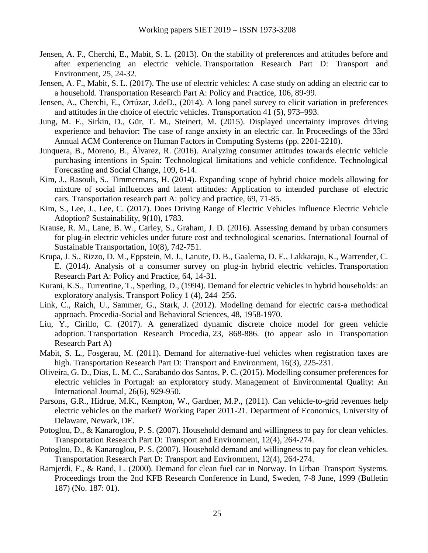- Jensen, A. F., Cherchi, E., Mabit, S. L. (2013). On the stability of preferences and attitudes before and after experiencing an electric vehicle. Transportation Research Part D: Transport and Environment, 25, 24-32.
- Jensen, A. F., Mabit, S. L. (2017). The use of electric vehicles: A case study on adding an electric car to a household. Transportation Research Part A: Policy and Practice, 106, 89-99.
- Jensen, A., Cherchi, E., Ortúzar, J.deD., (2014). A long panel survey to elicit variation in preferences and attitudes in the choice of electric vehicles. Transportation 41 (5), 973–993.
- Jung, M. F., Sirkin, D., Gür, T. M., Steinert, M. (2015). Displayed uncertainty improves driving experience and behavior: The case of range anxiety in an electric car. In Proceedings of the 33rd Annual ACM Conference on Human Factors in Computing Systems (pp. 2201-2210).
- Junquera, B., Moreno, B., Álvarez, R. (2016). Analyzing consumer attitudes towards electric vehicle purchasing intentions in Spain: Technological limitations and vehicle confidence. Technological Forecasting and Social Change, 109, 6-14.
- Kim, J., Rasouli, S., Timmermans, H. (2014). Expanding scope of hybrid choice models allowing for mixture of social influences and latent attitudes: Application to intended purchase of electric cars. Transportation research part A: policy and practice, 69, 71-85.
- Kim, S., Lee, J., Lee, C. (2017). Does Driving Range of Electric Vehicles Influence Electric Vehicle Adoption? Sustainability, 9(10), 1783.
- Krause, R. M., Lane, B. W., Carley, S., Graham, J. D. (2016). Assessing demand by urban consumers for plug-in electric vehicles under future cost and technological scenarios. International Journal of Sustainable Transportation, 10(8), 742-751.
- Krupa, J. S., Rizzo, D. M., Eppstein, M. J., Lanute, D. B., Gaalema, D. E., Lakkaraju, K., Warrender, C. E. (2014). Analysis of a consumer survey on plug-in hybrid electric vehicles. Transportation Research Part A: Policy and Practice, 64, 14-31.
- Kurani, K.S., Turrentine, T., Sperling, D., (1994). Demand for electric vehicles in hybrid households: an exploratory analysis. Transport Policy 1 (4), 244–256.
- Link, C., Raich, U., Sammer, G., Stark, J. (2012). Modeling demand for electric cars-a methodical approach. Procedia-Social and Behavioral Sciences, 48, 1958-1970.
- Liu, Y., Cirillo, C. (2017). A generalized dynamic discrete choice model for green vehicle adoption. Transportation Research Procedia, 23, 868-886. (to appear aslo in Transportation Research Part A)
- Mabit, S. L., Fosgerau, M. (2011). Demand for alternative-fuel vehicles when registration taxes are high. Transportation Research Part D: Transport and Environment, 16(3), 225-231.
- Oliveira, G. D., Dias, L. M. C., Sarabando dos Santos, P. C. (2015). Modelling consumer preferences for electric vehicles in Portugal: an exploratory study. Management of Environmental Quality: An International Journal, 26(6), 929-950.
- Parsons, G.R., Hidrue, M.K., Kempton, W., Gardner, M.P., (2011). Can vehicle-to-grid revenues help electric vehicles on the market? Working Paper 2011-21. Department of Economics, University of Delaware, Newark, DE.
- Potoglou, D., & Kanaroglou, P. S. (2007). Household demand and willingness to pay for clean vehicles. Transportation Research Part D: Transport and Environment, 12(4), 264-274.
- Potoglou, D., & Kanaroglou, P. S. (2007). Household demand and willingness to pay for clean vehicles. Transportation Research Part D: Transport and Environment, 12(4), 264-274.
- Ramjerdi, F., & Rand, L. (2000). Demand for clean fuel car in Norway. In Urban Transport Systems. Proceedings from the 2nd KFB Research Conference in Lund, Sweden, 7-8 June, 1999 (Bulletin 187) (No. 187: 01).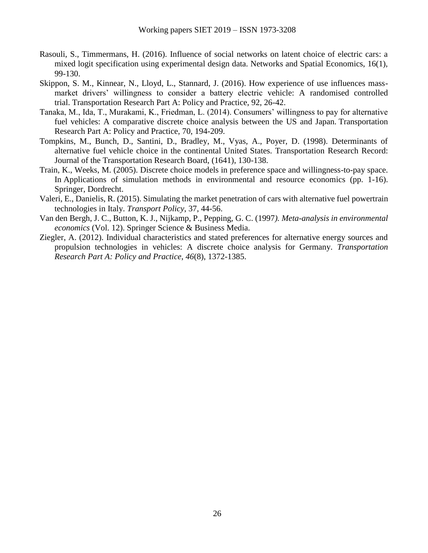- Rasouli, S., Timmermans, H. (2016). Influence of social networks on latent choice of electric cars: a mixed logit specification using experimental design data. Networks and Spatial Economics, 16(1), 99-130.
- Skippon, S. M., Kinnear, N., Lloyd, L., Stannard, J. (2016). How experience of use influences massmarket drivers' willingness to consider a battery electric vehicle: A randomised controlled trial. Transportation Research Part A: Policy and Practice, 92, 26-42.
- Tanaka, M., Ida, T., Murakami, K., Friedman, L. (2014). Consumers' willingness to pay for alternative fuel vehicles: A comparative discrete choice analysis between the US and Japan. Transportation Research Part A: Policy and Practice, 70, 194-209.
- Tompkins, M., Bunch, D., Santini, D., Bradley, M., Vyas, A., Poyer, D. (1998). Determinants of alternative fuel vehicle choice in the continental United States. Transportation Research Record: Journal of the Transportation Research Board, (1641), 130-138.
- Train, K., Weeks, M. (2005). Discrete choice models in preference space and willingness-to-pay space. In Applications of simulation methods in environmental and resource economics (pp. 1-16). Springer, Dordrecht.
- Valeri, E., Danielis, R. (2015). Simulating the market penetration of cars with alternative fuel powertrain technologies in Italy. *Transport Policy*, 37, 44-56.
- Van den Bergh, J. C., Button, K. J., Nijkamp, P., Pepping, G. C. (1997*). Meta-analysis in environmental economics* (Vol. 12). Springer Science & Business Media.
- Ziegler, A. (2012). Individual characteristics and stated preferences for alternative energy sources and propulsion technologies in vehicles: A discrete choice analysis for Germany. *Transportation Research Part A: Policy and Practice*, *46*(8), 1372-1385.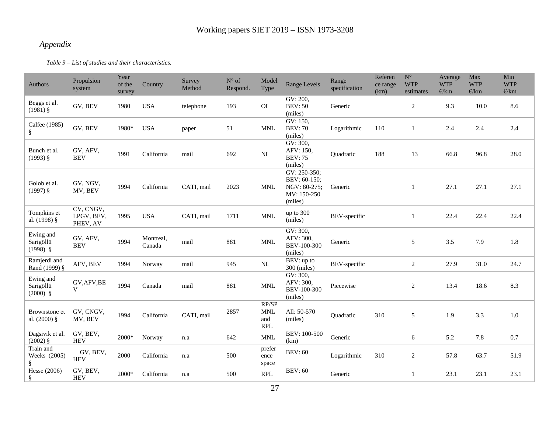## *Appendix*

*Table 9 – List of studies and their characteristics.*

<span id="page-26-0"></span>

| Authors                              | Propulsion<br>system                | Year<br>of the<br>survey | Country             | Survey<br>Method | $N^{\circ}$ of<br>Respond. | Model<br>Type                            | Range Levels                                                           | Range<br>specification | Referen<br>ce range<br>(km) | $\mathbf{N}^{\circ}$<br><b>WTP</b><br>estimates | Average<br><b>WTP</b><br>E/km | Max<br><b>WTP</b><br>E/km | Min<br><b>WTP</b><br>E/km |
|--------------------------------------|-------------------------------------|--------------------------|---------------------|------------------|----------------------------|------------------------------------------|------------------------------------------------------------------------|------------------------|-----------------------------|-------------------------------------------------|-------------------------------|---------------------------|---------------------------|
| Beggs et al.<br>$(1981)$ §           | GV, BEV                             | 1980                     | <b>USA</b>          | telephone        | 193                        | OL                                       | GV: 200,<br><b>BEV: 50</b><br>(miles)                                  | Generic                |                             | $\overline{c}$                                  | 9.3                           | 10.0                      | 8.6                       |
| Calfee (1985)<br>ş                   | GV, BEV                             | 1980*                    | <b>USA</b>          | paper            | 51                         | <b>MNL</b>                               | GV: 150,<br><b>BEV: 70</b><br>(miles)                                  | Logarithmic            | 110                         | 1                                               | 2.4                           | 2.4                       | 2.4                       |
| Bunch et al.<br>$(1993)$ §           | GV, AFV,<br><b>BEV</b>              | 1991                     | California          | mail             | 692                        | NL                                       | GV: 300,<br>AFV: 150,<br><b>BEV: 75</b><br>(miles)                     | Quadratic              | 188                         | 13                                              | 66.8                          | 96.8                      | 28.0                      |
| Golob et al.<br>$(1997)$ §           | GV, NGV,<br>MV, BEV                 | 1994                     | California          | CATI, mail       | 2023                       | <b>MNL</b>                               | GV: 250-350;<br>BEV: 60-150;<br>NGV: 80-275;<br>MV: 150-250<br>(miles) | Generic                |                             | 1                                               | 27.1                          | 27.1                      | 27.1                      |
| Tompkins et<br>al. (1998) §          | CV, CNGV,<br>LPGV, BEV,<br>PHEV, AV | 1995                     | <b>USA</b>          | CATI, mail       | 1711                       | $\ensuremath{\text{MNL}}$                | up to 300<br>(miles)                                                   | BEV-specific           |                             | 1                                               | 22.4                          | 22.4                      | 22.4                      |
| Ewing and<br>Sarigöllü<br>$(1998)$ § | GV, AFV,<br><b>BEV</b>              | 1994                     | Montreal,<br>Canada | mail             | 881                        | <b>MNL</b>                               | GV: 300,<br>AFV: 300,<br>BEV-100-300<br>(miles)                        | Generic                |                             | 5                                               | 3.5                           | 7.9                       | 1.8                       |
| Ramjerdi and<br>Rand (1999) §        | AFV, BEV                            | 1994                     | Norway              | mail             | 945                        | $\rm NL$                                 | $\overline{BEV}$ : up to<br>300 (miles)                                | BEV-specific           |                             | $\overline{c}$                                  | 27.9                          | 31.0                      | 24.7                      |
| Ewing and<br>Sarigöllü<br>$(2000)$ § | GV, AFV, BE<br>$\mathbf{V}$         | 1994                     | Canada              | mail             | 881                        | $\ensuremath{\text{MNL}}$                | GV: 300,<br>AFV: 300,<br>BEV-100-300<br>(miles)                        | Piecewise              |                             | $\overline{c}$                                  | 13.4                          | 18.6                      | 8.3                       |
| Brownstone et<br>al. $(2000)$ §      | GV, CNGV,<br>MV, BEV                | 1994                     | California          | CATI, mail       | 2857                       | RP/SP<br><b>MNL</b><br>and<br><b>RPL</b> | All: 50-570<br>(miles)                                                 | Quadratic              | 310                         | 5                                               | 1.9                           | 3.3                       | $1.0\,$                   |
| Dagsivik et al.<br>$(2002)$ §        | GV, BEV,<br><b>HEV</b>              | 2000*                    | Norway              | n.a              | 642                        | $\ensuremath{\text{MNL}}$                | BEV: 100-500<br>(km)                                                   | Generic                |                             | 6                                               | 5.2                           | 7.8                       | 0.7                       |
| Train and<br>Weeks (2005)<br>ş       | GV, BEV,<br><b>HEV</b>              | 2000                     | California          | n.a              | 500                        | prefer<br>ence<br>space                  | <b>BEV: 60</b>                                                         | Logarithmic            | 310                         | $\overline{c}$                                  | 57.8                          | 63.7                      | 51.9                      |
| <b>Hesse</b> (2006)<br>ş             | GV, BEV,<br><b>HEV</b>              | 2000*                    | California          | n.a              | 500                        | RPL                                      | <b>BEV: 60</b>                                                         | Generic                |                             | 1                                               | 23.1                          | 23.1                      | 23.1                      |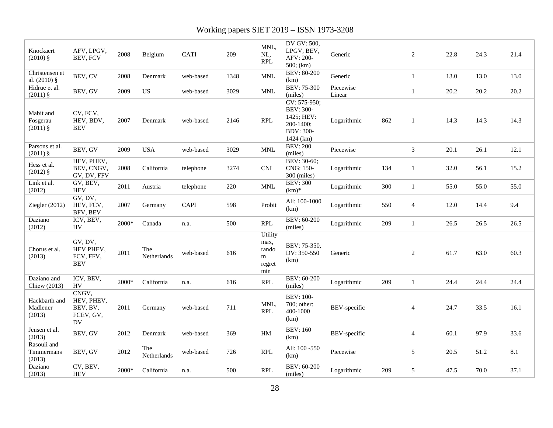| Knockaert<br>$(2010)$ §             | AFV, LPGV,<br>BEV, FCV                             | 2008  | Belgium            | <b>CATI</b> | 209  | MNL,<br>NL,<br><b>RPL</b>                      | DV GV: 500,<br>LPGV, BEV,<br>AFV: 200-<br>500; (km)                                          | Generic             |     | 2              | 22.8 | 24.3 | 21.4 |
|-------------------------------------|----------------------------------------------------|-------|--------------------|-------------|------|------------------------------------------------|----------------------------------------------------------------------------------------------|---------------------|-----|----------------|------|------|------|
| Christensen et<br>al. $(2010)$ §    | BEV, CV                                            | 2008  | Denmark            | web-based   | 1348 | $\ensuremath{\text{MNL}}$                      | <b>BEV: 80-200</b><br>(km)                                                                   | Generic             |     | $\mathbf{1}$   | 13.0 | 13.0 | 13.0 |
| Hidrue et al.<br>$(2011)$ §         | BEV, GV                                            | 2009  | US                 | web-based   | 3029 | $\ensuremath{\text{MNL}}$                      | <b>BEV: 75-300</b><br>(miles)                                                                | Piecewise<br>Linear |     | $\mathbf{1}$   | 20.2 | 20.2 | 20.2 |
| Mabit and<br>Fosgerau<br>$(2011)$ § | CV, FCV,<br>HEV, BDV,<br><b>BEV</b>                | 2007  | Denmark            | web-based   | 2146 | <b>RPL</b>                                     | CV: 575-950;<br><b>BEV: 300-</b><br>1425; HEV:<br>200-1400;<br><b>BDV: 300-</b><br>1424 (km) | Logarithmic         | 862 | 1              | 14.3 | 14.3 | 14.3 |
| Parsons et al.<br>$(2011)$ §        | BEV, GV                                            | 2009  | <b>USA</b>         | web-based   | 3029 | <b>MNL</b>                                     | <b>BEV: 200</b><br>(miles)                                                                   | Piecewise           |     | $\overline{3}$ | 20.1 | 26.1 | 12.1 |
| Hess et al.<br>$(2012)$ §           | HEV, PHEV,<br>BEV, CNGV,<br>GV, DV, FFV            | 2008  | California         | telephone   | 3274 | <b>CNL</b>                                     | BEV: 30-60;<br>CNG: 150-<br>300 (miles)                                                      | Logarithmic         | 134 | 1              | 32.0 | 56.1 | 15.2 |
| Link et al.<br>(2012)               | GV, BEV,<br><b>HEV</b>                             | 2011  | Austria            | telephone   | 220  | $\ensuremath{\text{MNL}}$                      | <b>BEV: 300</b><br>$(km)*$                                                                   | Logarithmic         | 300 | 1              | 55.0 | 55.0 | 55.0 |
| Ziegler (2012)                      | GV, DV,<br>HEV, FCV,<br>BFV, BEV                   | 2007  | Germany            | CAPI        | 598  | Probit                                         | All: 100-1000<br>(km)                                                                        | Logarithmic         | 550 | $\overline{4}$ | 12.0 | 14.4 | 9.4  |
| Daziano<br>(2012)                   | ICV, BEV,<br><b>HV</b>                             | 2000* | Canada             | n.a.        | 500  | <b>RPL</b>                                     | BEV: 60-200<br>(miles)                                                                       | Logarithmic         | 209 | 1              | 26.5 | 26.5 | 26.5 |
| Chorus et al.<br>(2013)             | GV, DV,<br>HEV PHEV,<br>FCV, FFV,<br><b>BEV</b>    | 2011  | The<br>Netherlands | web-based   | 616  | Utility<br>max,<br>rando<br>m<br>regret<br>min | BEV: 75-350,<br>DV: 350-550<br>(km)                                                          | Generic             |     | 2              | 61.7 | 63.0 | 60.3 |
| Daziano and<br>Chiew (2013)         | ICV, BEV,<br><b>HV</b>                             | 2000* | California         | n.a.        | 616  | <b>RPL</b>                                     | BEV: 60-200<br>(miles)                                                                       | Logarithmic         | 209 | 1              | 24.4 | 24.4 | 24.4 |
| Hackbarth and<br>Madlener<br>(2013) | CNGV,<br>HEV, PHEV,<br>BEV, BV,<br>FCEV, GV,<br>DV | 2011  | Germany            | web-based   | 711  | MNL,<br><b>RPL</b>                             | <b>BEV: 100-</b><br>700; other:<br>400-1000<br>(km)                                          | BEV-specific        |     | 4              | 24.7 | 33.5 | 16.1 |
| Jensen et al.<br>(2013)             | BEV, GV                                            | 2012  | Denmark            | web-based   | 369  | $\operatorname{HM}$                            | <b>BEV: 160</b><br>(km)                                                                      | BEV-specific        |     | $\overline{4}$ | 60.1 | 97.9 | 33.6 |
| Rasouli and<br>Timmermans<br>(2013) | BEV, GV                                            | 2012  | The<br>Netherlands | web-based   | 726  | <b>RPL</b>                                     | All: 100 -550<br>(km)                                                                        | Piecewise           |     | 5              | 20.5 | 51.2 | 8.1  |
| Daziano<br>(2013)                   | CV, BEV,<br><b>HEV</b>                             | 2000* | California         | n.a.        | 500  | <b>RPL</b>                                     | <b>BEV: 60-200</b><br>(miles)                                                                | Logarithmic         | 209 | 5              | 47.5 | 70.0 | 37.1 |